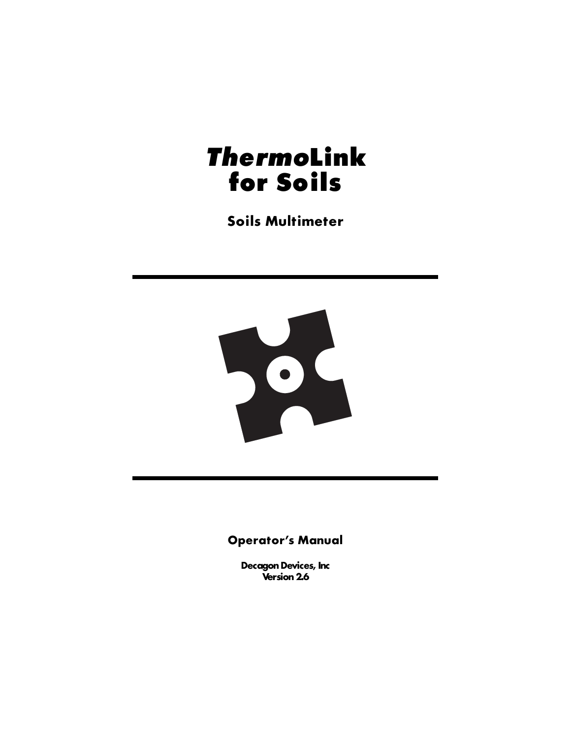# *Thermo***Link for Soils**

**Soils Multimeter**



#### **Operator's Manual**

**Decagon Devices, Inc Version 2.6**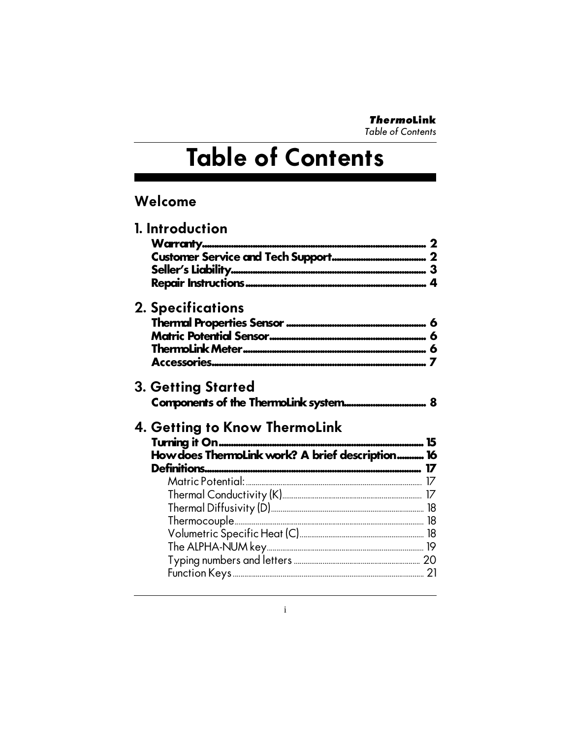**ThermoLink Table of Contents** 

# Table of Contents

## Welcome

| <b>2. Specifications</b><br>3. Getting Started                                    |
|-----------------------------------------------------------------------------------|
|                                                                                   |
|                                                                                   |
| 4. Getting to Know ThermoLink<br>How does ThermoLink work? A brief description 16 |
|                                                                                   |
|                                                                                   |
|                                                                                   |
|                                                                                   |
|                                                                                   |
|                                                                                   |
|                                                                                   |
|                                                                                   |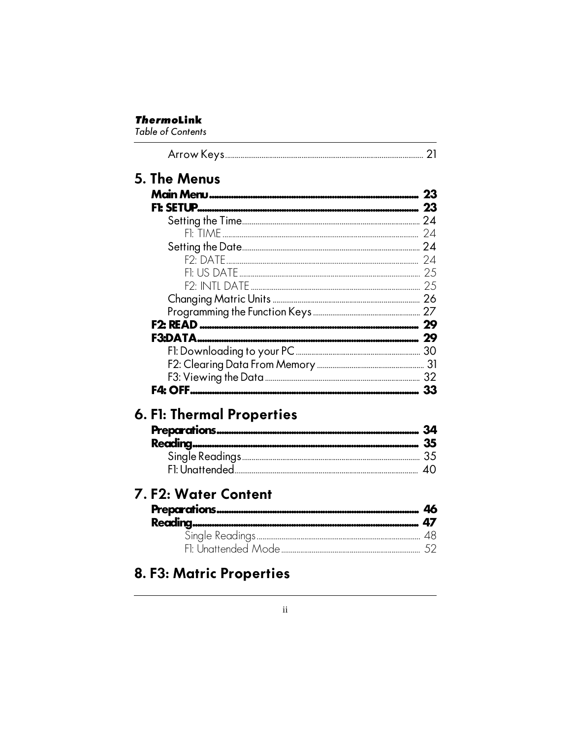#### **ThermoLink**

**Table of Contents** 

|                                                   |              | 21 |
|---------------------------------------------------|--------------|----|
| 6. F1: Thermal Properties<br>7. F2: Water Content | 5. The Menus |    |
|                                                   |              |    |
|                                                   |              |    |
|                                                   |              |    |
|                                                   |              |    |
|                                                   |              |    |
|                                                   |              |    |
|                                                   |              |    |
|                                                   |              |    |
|                                                   |              |    |
|                                                   |              |    |
|                                                   |              |    |
|                                                   |              |    |
|                                                   |              |    |
|                                                   |              |    |
|                                                   |              |    |
|                                                   |              |    |
|                                                   |              |    |
|                                                   |              |    |
|                                                   |              |    |
|                                                   |              |    |
|                                                   |              | 40 |
|                                                   |              |    |
|                                                   |              |    |
|                                                   |              |    |
|                                                   |              |    |
|                                                   |              |    |
|                                                   |              |    |
|                                                   |              |    |

# 8. F3: Matric Properties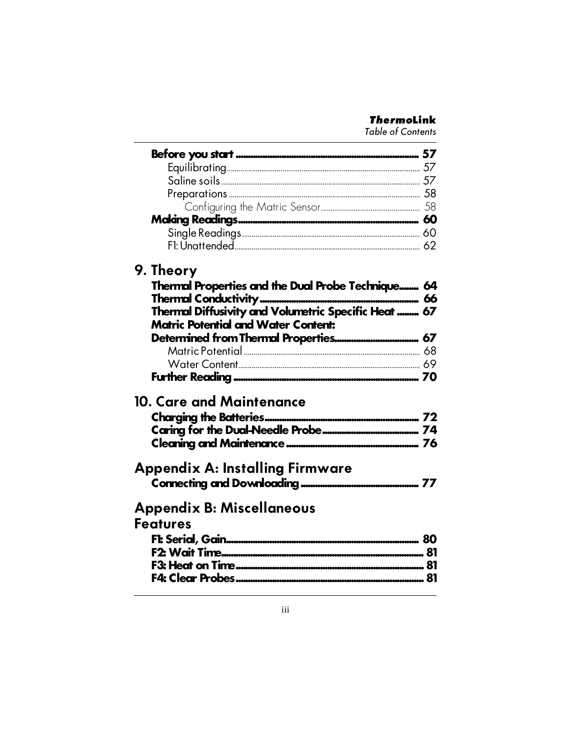#### **ThermoLink**

**Table of Contents** 

| 9. Theory                                                                                          |  |
|----------------------------------------------------------------------------------------------------|--|
| Thermal Properties and the Dual Probe Technique 64                                                 |  |
|                                                                                                    |  |
| Thermal Diffusivity and Volumetric Specific Heat  67<br><b>Matric Potential and Water Content:</b> |  |
|                                                                                                    |  |
|                                                                                                    |  |
|                                                                                                    |  |
|                                                                                                    |  |
|                                                                                                    |  |
| 10. Care and Maintenance                                                                           |  |
|                                                                                                    |  |
|                                                                                                    |  |
|                                                                                                    |  |
|                                                                                                    |  |
| <b>Appendix A: Installing Firmware</b>                                                             |  |
|                                                                                                    |  |
| <b>Appendix B: Miscellaneous</b>                                                                   |  |
| <b>Features</b>                                                                                    |  |
|                                                                                                    |  |
|                                                                                                    |  |
|                                                                                                    |  |
|                                                                                                    |  |
|                                                                                                    |  |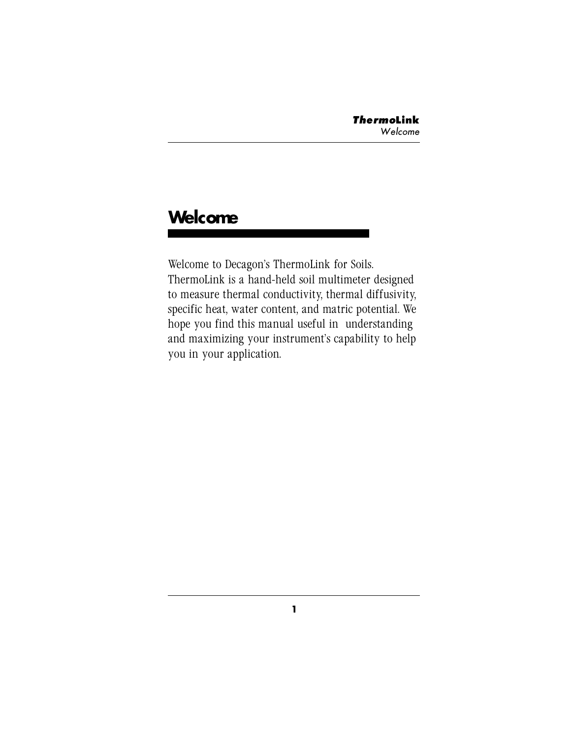# **Welcome**

Welcome to Decagon's ThermoLink for Soils. ThermoLink is a hand-held soil multimeter designed to measure thermal conductivity, thermal diffusivity, specific heat, water content, and matric potential. We hope you find this manual useful in understanding and maximizing your instrument's capability to help you in your application.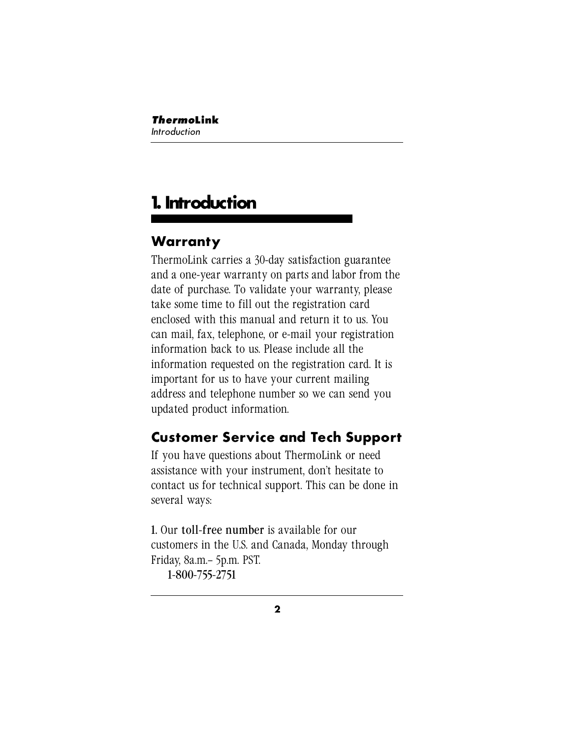# **1. Introduction**

# **Warranty**

ThermoLink carries a 30-day satisfaction guarantee and a one-year warranty on parts and labor from the date of purchase. To validate your warranty, please take some time to fill out the registration card enclosed with this manual and return it to us. You can mail, fax, telephone, or e-mail your registration information back to us. Please include all the information requested on the registration card. It is important for us to have your current mailing address and telephone number so we can send you updated product information.

# **Customer Service and Tech Support**

If you have questions about ThermoLink or need assistance with your instrument, don't hesitate to contact us for technical support. This can be done in several ways:

1. Our toll-free number is available for our customers in the U.S. and Canada, Monday through Friday, 8a.m.– 5p.m. PST. 1-800-755-2751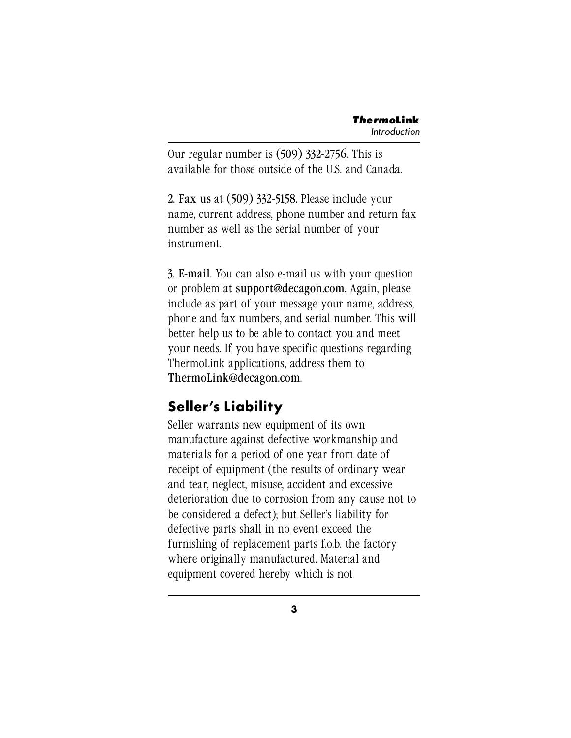Our regular number is (509) 332-2756. This is available for those outside of the U.S. and Canada.

2. Fax us at (509) 332-5158. Please include your name, current address, phone number and return fax number as well as the serial number of your instrument.

3. E-mail. You can also e-mail us with your question or problem at support@decagon.com. Again, please include as part of your message your name, address, phone and fax numbers, and serial number. This will better help us to be able to contact you and meet your needs. If you have specific questions regarding ThermoLink applications, address them to ThermoLink@decagon.com.

# **Seller's Liability**

Seller warrants new equipment of its own manufacture against defective workmanship and materials for a period of one year from date of receipt of equipment (the results of ordinary wear and tear, neglect, misuse, accident and excessive deterioration due to corrosion from any cause not to be considered a defect); but Seller's liability for defective parts shall in no event exceed the furnishing of replacement parts f.o.b. the factory where originally manufactured. Material and equipment covered hereby which is not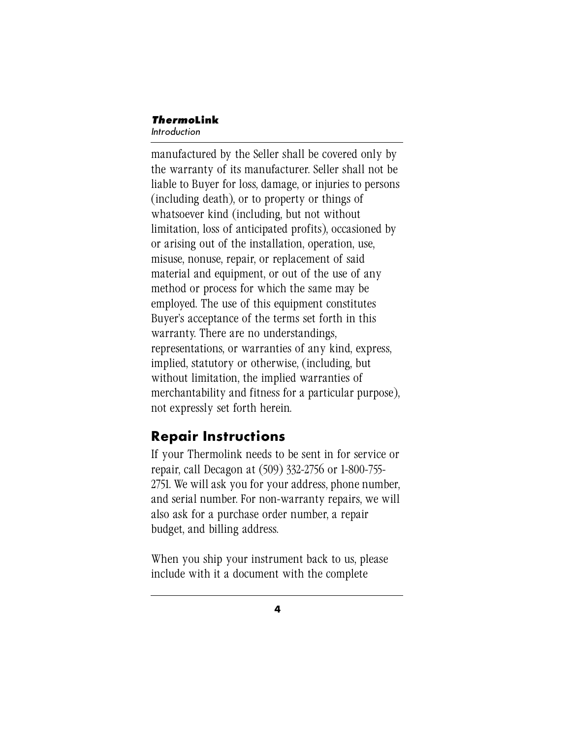#### *Thermo***Link** Introduction

manufactured by the Seller shall be covered only by the warranty of its manufacturer. Seller shall not be liable to Buyer for loss, damage, or injuries to persons (including death), or to property or things of whatsoever kind (including, but not without limitation, loss of anticipated profits), occasioned by or arising out of the installation, operation, use, misuse, nonuse, repair, or replacement of said material and equipment, or out of the use of any method or process for which the same may be employed. The use of this equipment constitutes Buyer's acceptance of the terms set forth in this warranty. There are no understandings, representations, or warranties of any kind, express, implied, statutory or otherwise, (including, but without limitation, the implied warranties of merchantability and fitness for a particular purpose), not expressly set forth herein.

## **Repair Instructions**

If your Thermolink needs to be sent in for service or repair, call Decagon at (509) 332-2756 or 1-800-755- 2751. We will ask you for your address, phone number, and serial number. For non-warranty repairs, we will also ask for a purchase order number, a repair budget, and billing address.

When you ship your instrument back to us, please include with it a document with the complete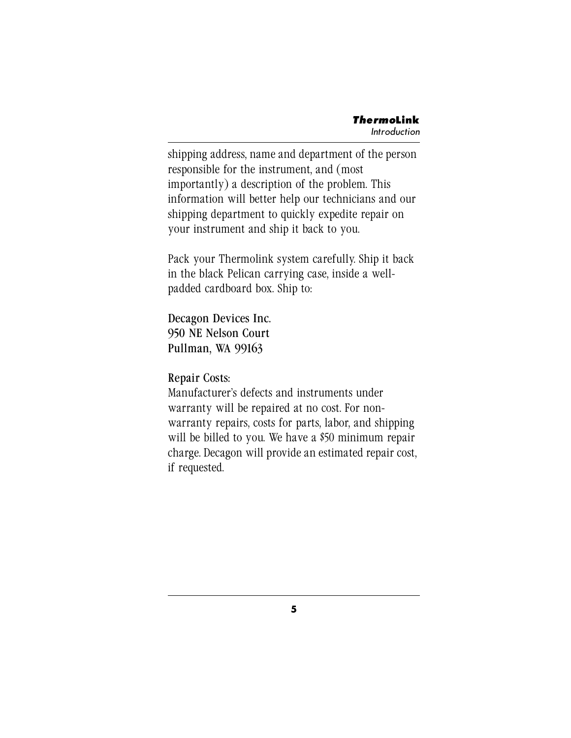shipping address, name and department of the person responsible for the instrument, and (most importantly) a description of the problem. This information will better help our technicians and our shipping department to quickly expedite repair on your instrument and ship it back to you.

Pack your Thermolink system carefully. Ship it back in the black Pelican carrying case, inside a wellpadded cardboard box. Ship to:

Decagon Devices Inc. 950 NE Nelson Court Pullman, WA 99163

Repair Costs:

Manufacturer's defects and instruments under warranty will be repaired at no cost. For nonwarranty repairs, costs for parts, labor, and shipping will be billed to you. We have a \$50 minimum repair charge. Decagon will provide an estimated repair cost, if requested.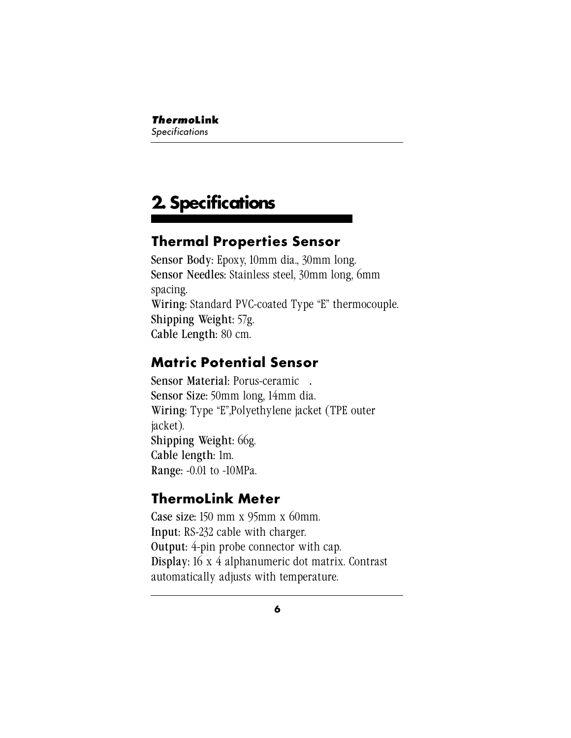# **2. Specifications**

# **Thermal Properties Sensor**

Sensor Body: Epoxy, 10mm dia., 30mm long. Sensor Needles: Stainless steel, 30mm long, 6mm spacing. Wiring: Standard PVC-coated Type "E" thermocouple. Shipping Weight: 57g. Cable Length: 80 cm.

## **Matric Potential Sensor**

Sensor Material: Porus-ceramic<sup>TM</sup>. Sensor Size: 50mm long, 14mm dia. Wiring: Type "E",Polyethylene jacket (TPE outer jacket). Shipping Weight: 66g. Cable length: 1m. Range: -0.01 to -10MPa.

# **ThermoLink Meter**

Case size: 150 mm x 95mm x 60mm. Input: RS-232 cable with charger. Output: 4-pin probe connector with cap. Display: 16 x 4 alphanumeric dot matrix. Contrast automatically adjusts with temperature.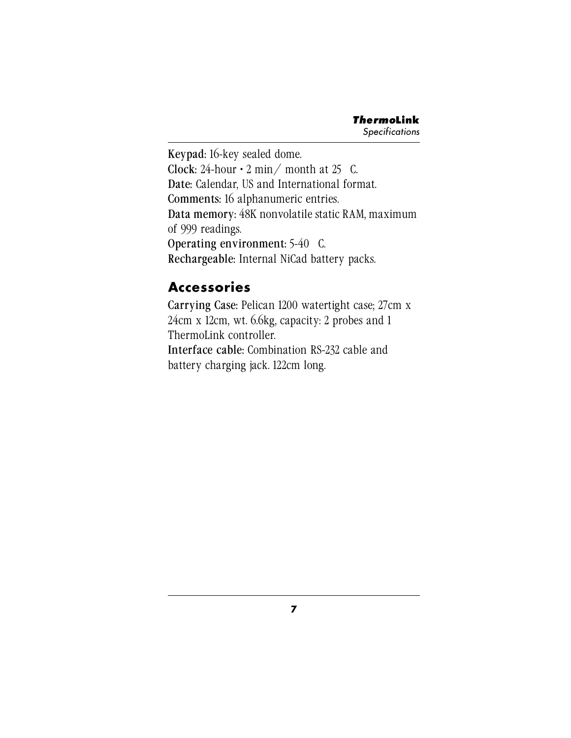Keypad: 16-key sealed dome. Clock: 24-hour  $\cdot$  2 min/ month at 25 °C. Date: Calendar, US and International format. Comments: 16 alphanumeric entries. Data memory: 48K nonvolatile static RAM, maximum of 999 readings. Operating environment: 5-40 C. Rechargeable: Internal NiCad battery packs.

# **Accessories**

Carrying Case: Pelican 1200 watertight case; 27cm x 24cm x 12cm, wt. 6.6kg, capacity: 2 probes and 1 ThermoLink controller.

Interface cable: Combination RS-232 cable and battery charging jack. 122cm long.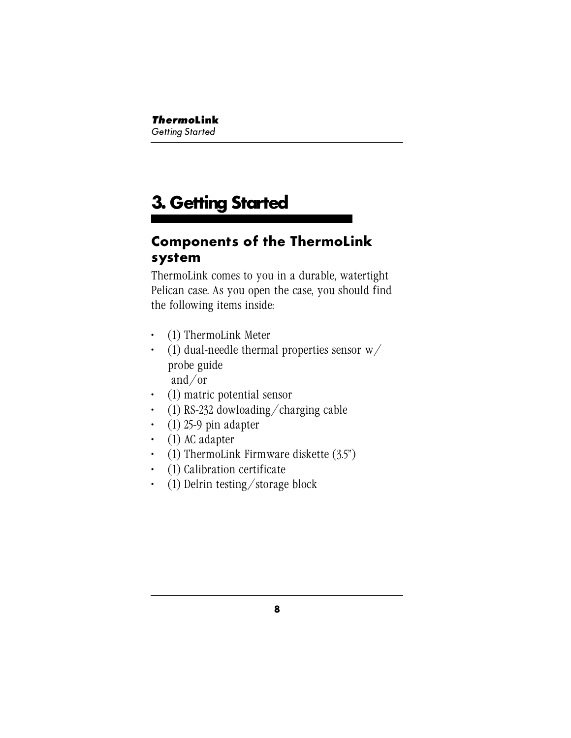# **3. Getting Started**

## **Components of the ThermoLink system**

ThermoLink comes to you in a durable, watertight Pelican case. As you open the case, you should find the following items inside:

- (1) ThermoLink Meter
- (1) dual-needle thermal properties sensor  $w/$ probe guide and/or
- (1) matric potential sensor
- (1) RS-232 dowloading/charging cable
- (1) 25-9 pin adapter
- (1) AC adapter
- (1) ThermoLink Firmware diskette  $(3.5)$
- (1) Calibration certificate
- (1) Delrin testing/storage block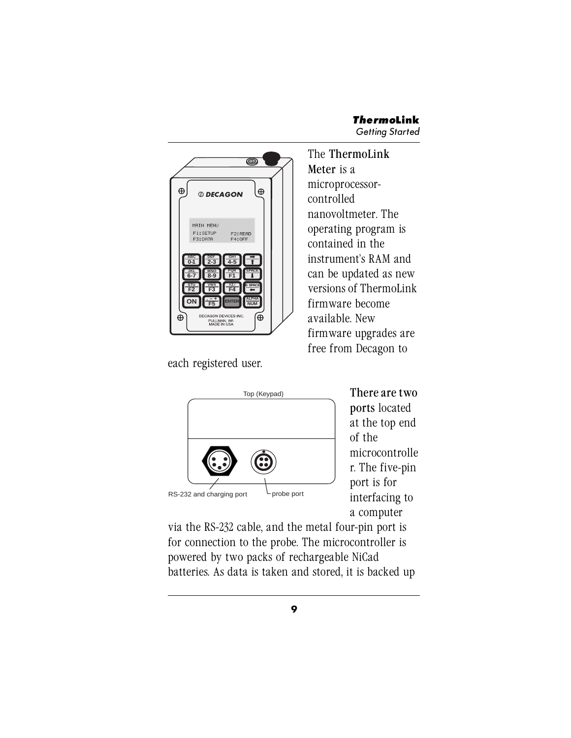

each registered user.

The ThermoLink Meter is a microprocessorcontrolled nanovoltmeter. The operating program is contained in the instrument's RAM and can be updated as new versions of ThermoLink firmware become available. New firmware upgrades are free from Decagon to



There are two ports located at the top end of the microcontrolle r. The five-pin port is for interfacing to a computer

via the RS-232 cable, and the metal four-pin port is for connection to the probe. The microcontroller is powered by two packs of rechargeable NiCad batteries. As data is taken and stored, it is backed up

**9**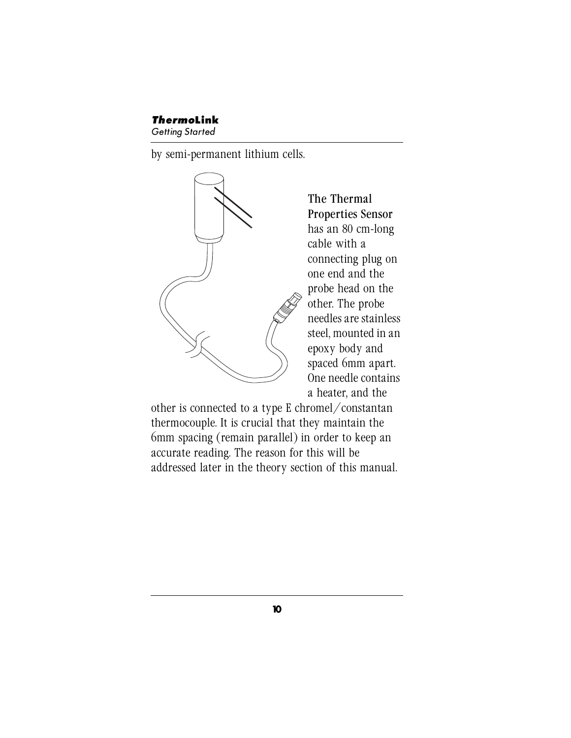#### *Thermo***Link**

Getting Started

by semi-permanent lithium cells.



The Thermal Properties Sensor has an 80 cm-long cable with a connecting plug on one end and the probe head on the other. The probe needles are stainless steel, mounted in an epoxy body and spaced 6mm apart. One needle contains a heater, and the

other is connected to a type E chromel/constantan thermocouple. It is crucial that they maintain the 6mm spacing (remain parallel) in order to keep an accurate reading. The reason for this will be addressed later in the theory section of this manual.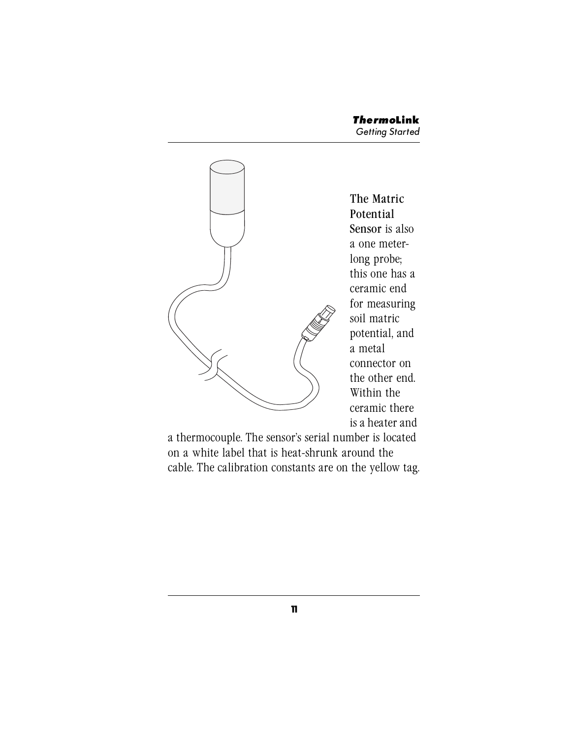

The Matric Potential Sensor is also a one meterlong probe; this one has a ceramic end for measuring soil matric potential, and a metal connector on the other end. Within the ceramic there is a heater and

a thermocouple. The sensor's serial number is located on a white label that is heat-shrunk around the cable. The calibration constants are on the yellow tag.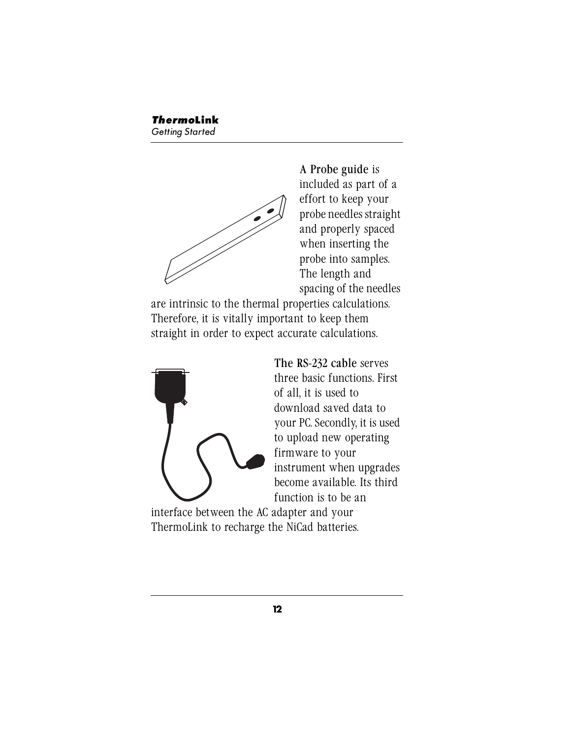A Probe guide is included as part of a effort to keep your probe needles straight and properly spaced when inserting the probe into samples. The length and spacing of the needles

are intrinsic to the thermal properties calculations. Therefore, it is vitally important to keep them straight in order to expect accurate calculations.



The RS-232 cable serves three basic functions. First of all, it is used to download saved data to your PC. Secondly, it is used to upload new operating firmware to your instrument when upgrades become available. Its third function is to be an

interface between the AC adapter and your ThermoLink to recharge the NiCad batteries.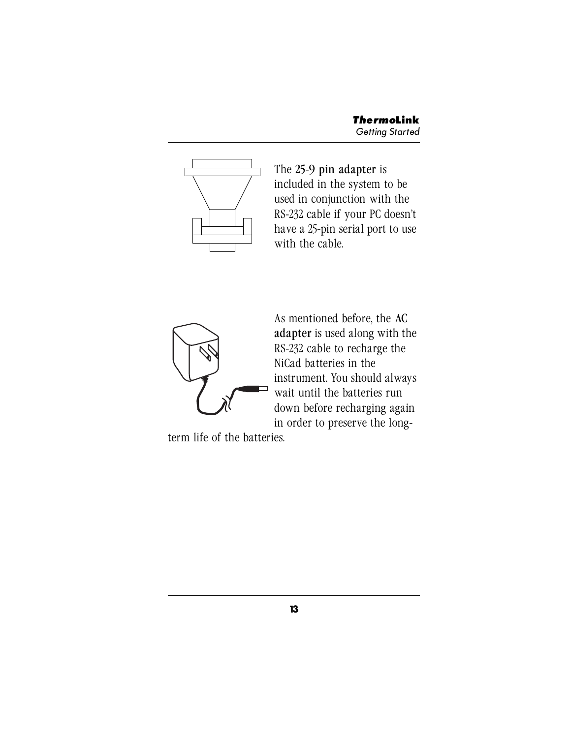

The 25-9 pin adapter is included in the system to be used in conjunction with the RS-232 cable if your PC doesn't have a 25-pin serial port to use with the cable.



As mentioned before, the AC adapter is used along with the RS-232 cable to recharge the NiCad batteries in the instrument. You should always wait until the batteries run down before recharging again in order to preserve the long-

term life of the batteries.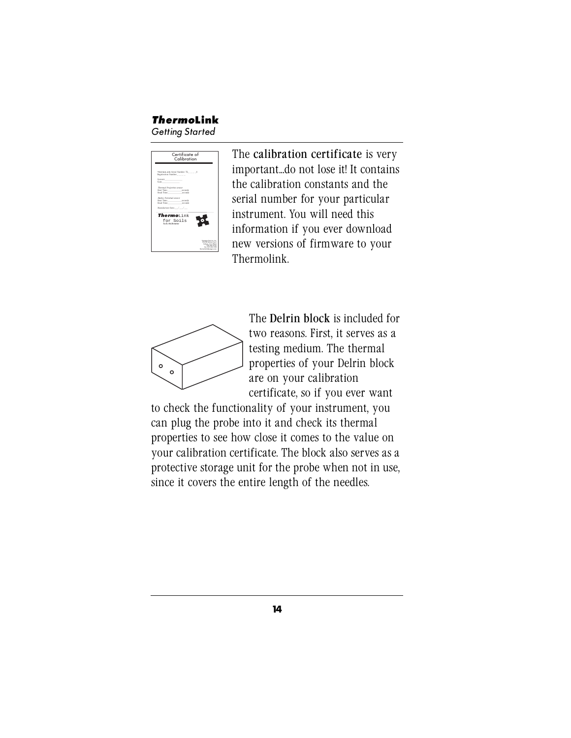

The calibration certificate is very important...do not lose it! It contains the calibration constants and the serial number for your particular instrument. You will need this information if you ever download new versions of firmware to your Thermolink.



The Delrin block is included for two reasons. First, it serves as a testing medium. The thermal properties of your Delrin block are on your calibration certificate, so if you ever want

to check the functionality of your instrument, you can plug the probe into it and check its thermal properties to see how close it comes to the value on your calibration certificate. The block also serves as a protective storage unit for the probe when not in use, since it covers the entire length of the needles.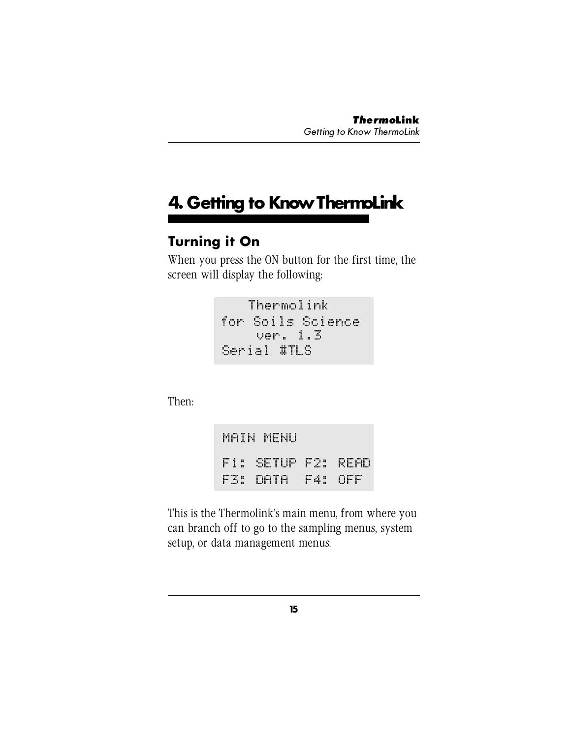# **4. Getting to Know ThermoLink**

# **Turning it On**

When you press the ON button for the first time, the screen will display the following:

> Thermolink for Soils Science ver. 1.3 Serial #TLS

Then:

MAIN MENU F3: DATA F4: OFF F1: SETUP F2: READ

This is the Thermolink's main menu, from where you can branch off to go to the sampling menus, system setup, or data management menus.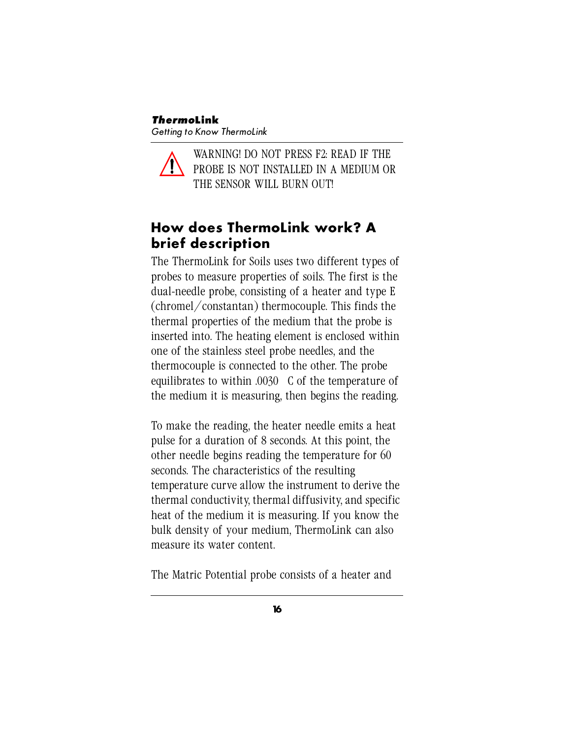WARNING! DO NOT PRESS F2: READ IF THE PROBE IS NOT INSTALLED IN A MEDIUM OR THE SENSOR WILL BURN OUT!

## **How does ThermoLink work? A brief description**

The ThermoLink for Soils uses two different types of probes to measure properties of soils. The first is the dual-needle probe, consisting of a heater and type E (chromel/constantan) thermocouple. This finds the thermal properties of the medium that the probe is inserted into. The heating element is enclosed within one of the stainless steel probe needles, and the thermocouple is connected to the other. The probe equilibrates to within .0030 C of the temperature of the medium it is measuring, then begins the reading.

To make the reading, the heater needle emits a heat pulse for a duration of 8 seconds. At this point, the other needle begins reading the temperature for 60 seconds. The characteristics of the resulting temperature curve allow the instrument to derive the thermal conductivity, thermal diffusivity, and specific heat of the medium it is measuring. If you know the bulk density of your medium, ThermoLink can also measure its water content.

The Matric Potential probe consists of a heater and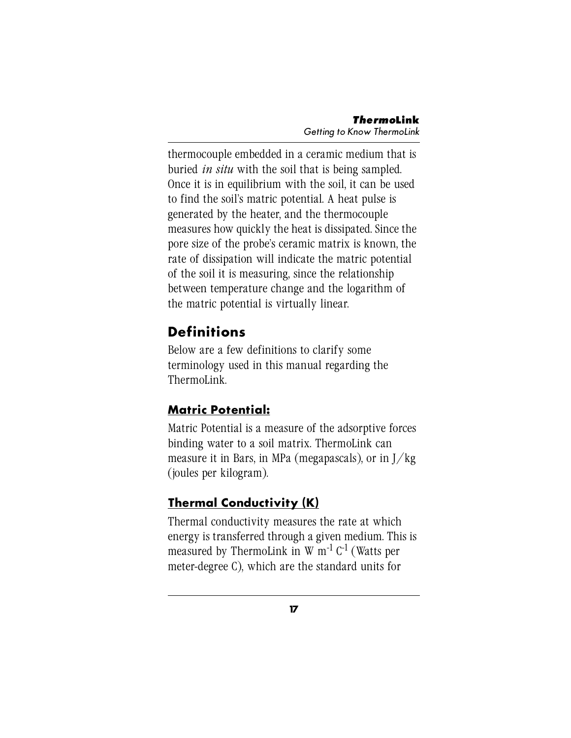thermocouple embedded in a ceramic medium that is buried *in situ* with the soil that is being sampled. Once it is in equilibrium with the soil, it can be used to find the soil's matric potential. A heat pulse is generated by the heater, and the thermocouple measures how quickly the heat is dissipated. Since the pore size of the probe's ceramic matrix is known, the rate of dissipation will indicate the matric potential of the soil it is measuring, since the relationship between temperature change and the logarithm of the matric potential is virtually linear.

# **Definitions**

Below are a few definitions to clarify some terminology used in this manual regarding the ThermoLink.

## **Matric Potential:**

Matric Potential is a measure of the adsorptive forces binding water to a soil matrix. ThermoLink can measure it in Bars, in MPa (megapascals), or in J/kg (joules per kilogram).

## **Thermal Conductivity (K)**

Thermal conductivity measures the rate at which energy is transferred through a given medium. This is measured by ThermoLink in W  $m^{-1}$  C<sup>-1</sup> (Watts per meter-degree C), which are the standard units for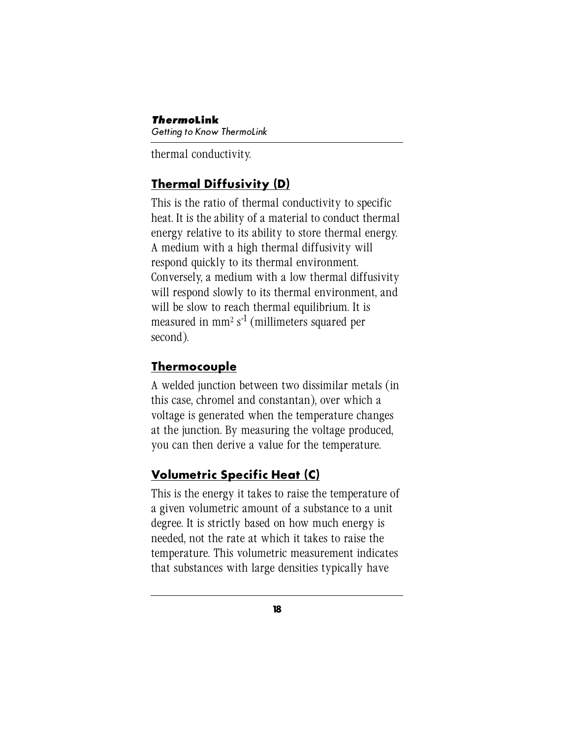*Thermo***Link** Getting to Know ThermoLink

thermal conductivity.

## **Thermal Diffusivity (D)**

This is the ratio of thermal conductivity to specific heat. It is the ability of a material to conduct thermal energy relative to its ability to store thermal energy. A medium with a high thermal diffusivity will respond quickly to its thermal environment. Conversely, a medium with a low thermal diffusivity will respond slowly to its thermal environment, and will be slow to reach thermal equilibrium. It is measured in mm<sup>2</sup> s<sup>-1</sup> (millimeters squared per second).

## **Thermocouple**

A welded junction between two dissimilar metals (in this case, chromel and constantan), over which a voltage is generated when the temperature changes at the junction. By measuring the voltage produced, you can then derive a value for the temperature.

## **Volumetric Specific Heat (C)**

This is the energy it takes to raise the temperature of a given volumetric amount of a substance to a unit degree. It is strictly based on how much energy is needed, not the rate at which it takes to raise the temperature. This volumetric measurement indicates that substances with large densities typically have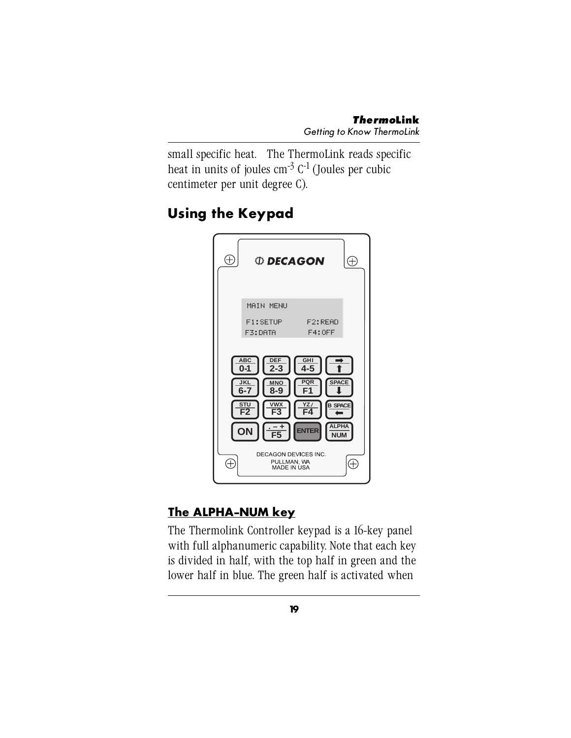small specific heat. The ThermoLink reads specific heat in units of joules  $\text{cm}^{-3}$  C<sup>-1</sup> (Joules per cubic centimeter per unit degree C).

# **Using the Keypad**



## **The ALPHA-NUM key**

The Thermolink Controller keypad is a 16-key panel with full alphanumeric capability. Note that each key is divided in half, with the top half in green and the lower half in blue. The green half is activated when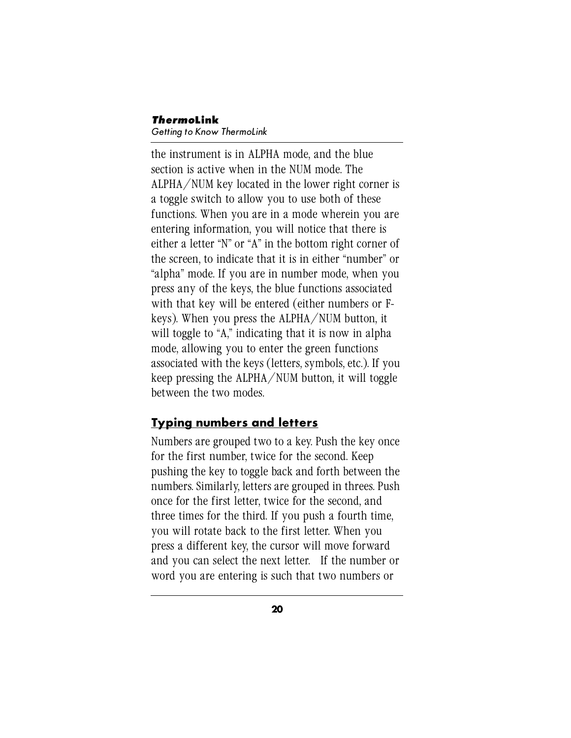#### *Thermo***Link** Getting to Know ThermoLink

the instrument is in ALPHA mode, and the blue section is active when in the NUM mode. The ALPHA/NUM key located in the lower right corner is a toggle switch to allow you to use both of these functions. When you are in a mode wherein you are entering information, you will notice that there is either a letter "N" or "A" in the bottom right corner of the screen, to indicate that it is in either "number" or "alpha" mode. If you are in number mode, when you press any of the keys, the blue functions associated with that key will be entered (either numbers or Fkeys). When you press the ALPHA/NUM button, it will toggle to "A," indicating that it is now in alpha mode, allowing you to enter the green functions associated with the keys (letters, symbols, etc.). If you keep pressing the ALPHA/NUM button, it will toggle between the two modes.

#### **Typing numbers and letters**

Numbers are grouped two to a key. Push the key once for the first number, twice for the second. Keep pushing the key to toggle back and forth between the numbers. Similarly, letters are grouped in threes. Push once for the first letter, twice for the second, and three times for the third. If you push a fourth time, you will rotate back to the first letter. When you press a different key, the cursor will move forward and you can select the next letter. If the number or word you are entering is such that two numbers or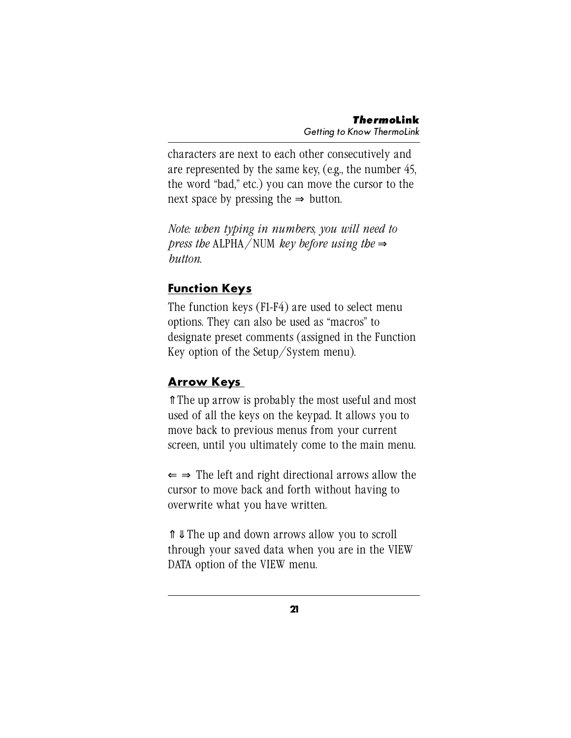characters are next to each other consecutively and are represented by the same key, (e.g., the number 45, the word "bad," etc.) you can move the cursor to the next space by pressing the  $\Rightarrow$  button.

*Note: when typing in numbers, you will need to press the* ALPHA/NUM *key before using the* ⇒ *button*.

#### **Function Keys**

The function keys (F1-F4) are used to select menu options. They can also be used as "macros" to designate preset comments (assigned in the Function Key option of the Setup/System menu).

### **Arrow Keys**

⇑ The up arrow is probably the most useful and most used of all the keys on the keypad. It allows you to move back to previous menus from your current screen, until you ultimately come to the main menu.

 $\Leftarrow$   $\Rightarrow$  The left and right directional arrows allow the cursor to move back and forth without having to overwrite what you have written.

⇑ ⇓ The up and down arrows allow you to scroll through your saved data when you are in the VIEW DATA option of the VIEW menu.

**21**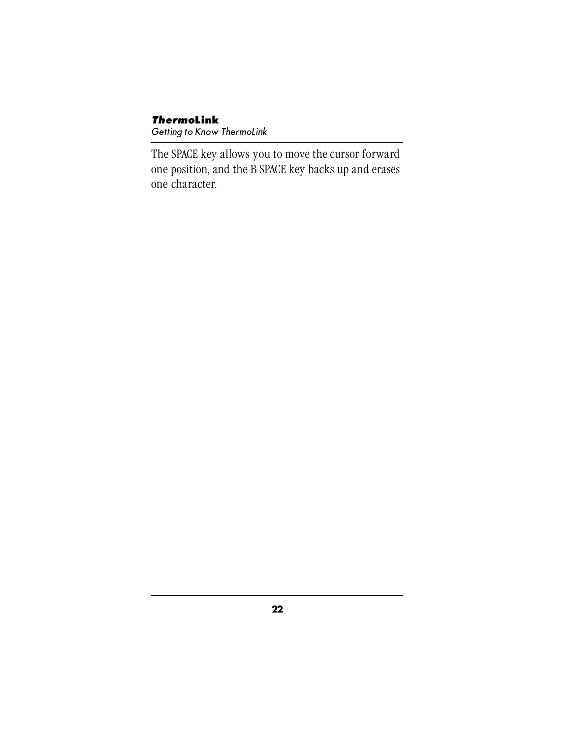#### *Thermo***Link** Getting to Know ThermoLink

The SPACE key allows you to move the cursor forward one position, and the B SPACE key backs up and erases one character.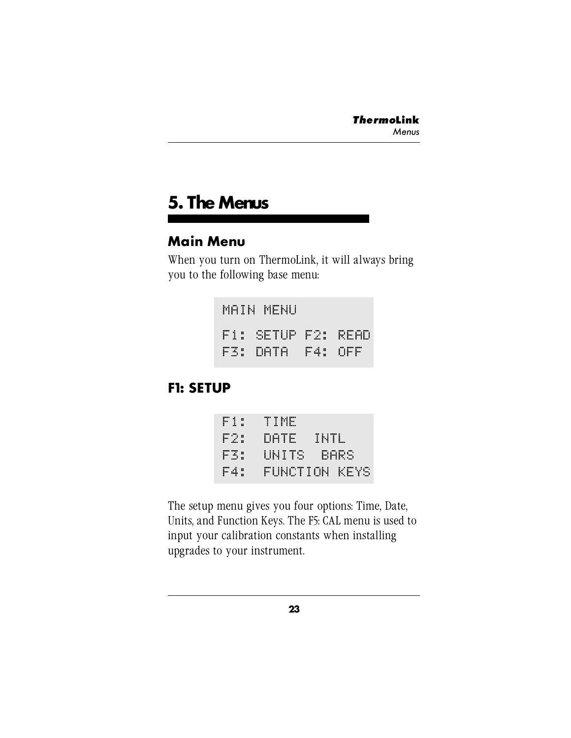# **5. The Menus**

### **Main Menu**

When you turn on ThermoLink, it will always bring you to the following base menu:

> MAIN MENU F1: SETUP F2: READ F3: DATA F4: OFF

## **F1: SETUP**

| F1:  | TIME       |               |
|------|------------|---------------|
| H 25 | DATE :     | TNTL.         |
| F3:  | UNITS BARS |               |
| F4:  |            | FUNCTION KEYS |

The setup menu gives you four options: Time, Date, Units, and Function Keys. The F5: CAL menu is used to input your calibration constants when installing upgrades to your instrument.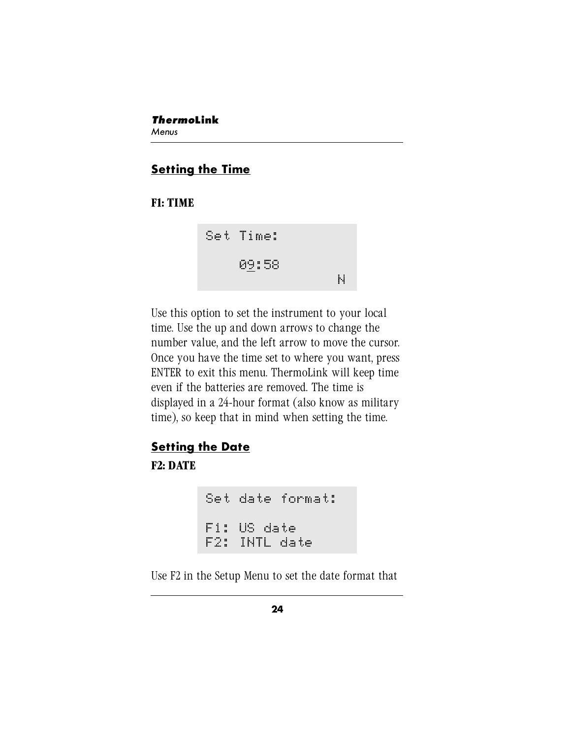#### **Setting the Time**

#### **F1: TIME**



Use this option to set the instrument to your local time. Use the up and down arrows to change the number value, and the left arrow to move the cursor. Once you have the time set to where you want, press ENTER to exit this menu. ThermoLink will keep time even if the batteries are removed. The time is displayed in a 24-hour format (also know as military time), so keep that in mind when setting the time.

## **Setting the Date**

**F2: DATE**

Set date format: F1: US date F2: INTL date

Use F2 in the Setup Menu to set the date format that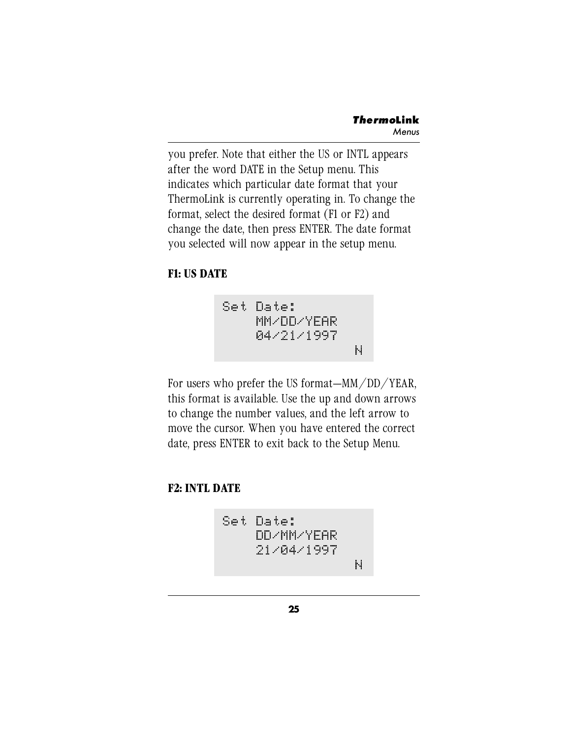you prefer. Note that either the US or INTL appears after the word DATE in the Setup menu. This indicates which particular date format that your ThermoLink is currently operating in. To change the format, select the desired format (F1 or F2) and change the date, then press ENTER. The date format you selected will now appear in the setup menu.

#### **F1: US DATE**

Set Date: MM/DD/YEAR 04/21/1997 N

For users who prefer the US format—MM/DD/YEAR, this format is available. Use the up and down arrows to change the number values, and the left arrow to move the cursor. When you have entered the correct date, press ENTER to exit back to the Setup Menu.

#### **F2: INTL DATE**

Set Date: DD/MM/YEAR 21/04/1997 N

**25**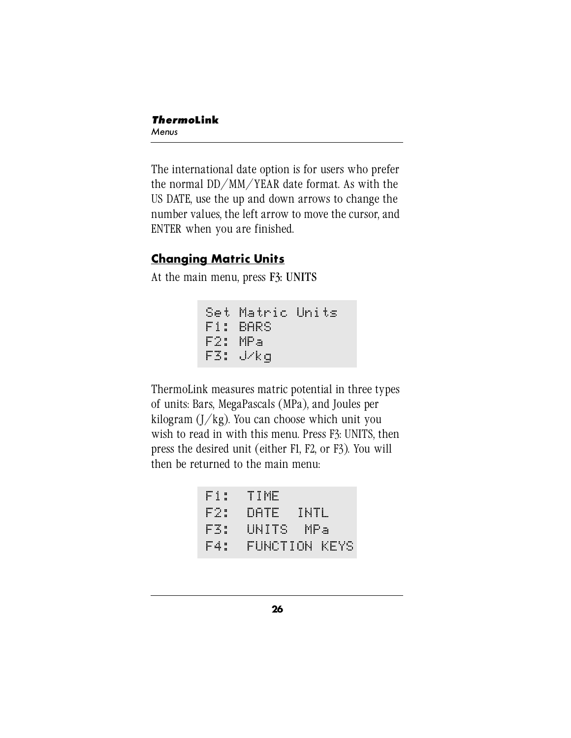The international date option is for users who prefer the normal DD/MM/YEAR date format. As with the US DATE, use the up and down arrows to change the number values, the left arrow to move the cursor, and ENTER when you are finished.

### **Changing Matric Units**

At the main menu, press F3: UNITS

```
Set Matric Units
F1: BARS
F2: MPa
F3: J/kg
```
ThermoLink measures matric potential in three types of units: Bars, MegaPascals (MPa), and Joules per kilogram  $\left(\frac{1}{kg}\right)$ . You can choose which unit you wish to read in with this menu. Press F3: UNITS, then press the desired unit (either F1, F2, or F3). You will then be returned to the main menu:

```
F1: TIME
F2: DATE INTL
F3: UNITS MPa
F4: FUNCTION KEYS
```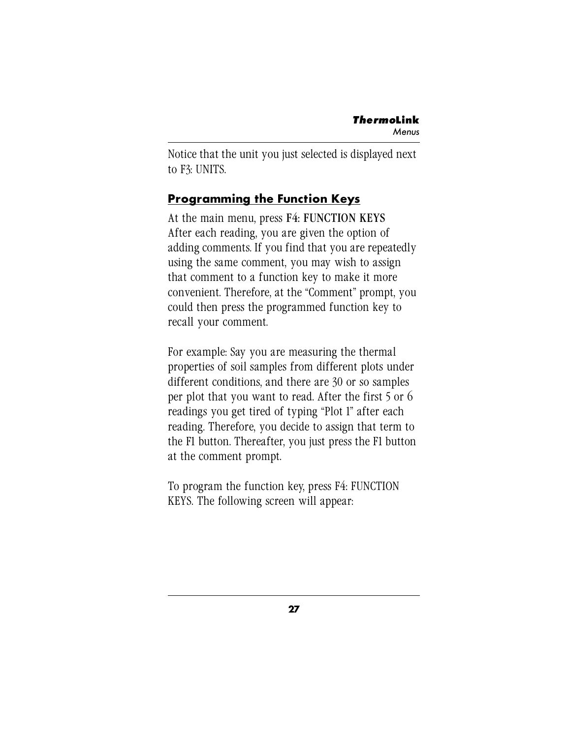Notice that the unit you just selected is displayed next to F3: UNITS.

### **Programming the Function Keys**

At the main menu, press F4: FUNCTION KEYS After each reading, you are given the option of adding comments. If you find that you are repeatedly using the same comment, you may wish to assign that comment to a function key to make it more convenient. Therefore, at the "Comment" prompt, you could then press the programmed function key to recall your comment.

For example: Say you are measuring the thermal properties of soil samples from different plots under different conditions, and there are 30 or so samples per plot that you want to read. After the first 5 or 6 readings you get tired of typing "Plot 1" after each reading. Therefore, you decide to assign that term to the F1 button. Thereafter, you just press the F1 button at the comment prompt.

To program the function key, press F4: FUNCTION KEYS. The following screen will appear: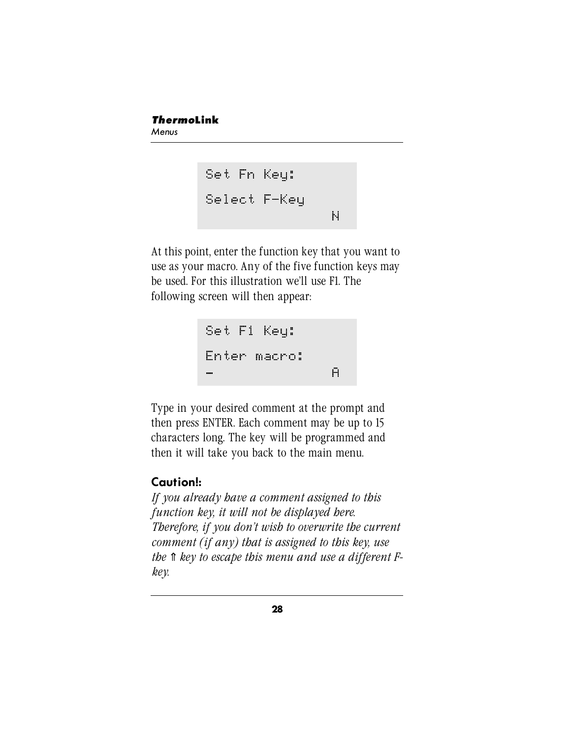#### *Thermo***Link** Menus

```
Set Fn Key:
Select F-Key
                 N
```
At this point, enter the function key that you want to use as your macro. Any of the five function keys may be used. For this illustration we'll use F1. The following screen will then appear:

```
Set F1 Key:
Enter macro:
_ A
```
Type in your desired comment at the prompt and then press ENTER. Each comment may be up to 15 characters long. The key will be programmed and then it will take you back to the main menu.

### **Caution!:**

*If you already have a comment assigned to this function key, it will not be displayed here. Therefore, if you don't wish to overwrite the current comment (if any) that is assigned to this key, use the* ⇑ *key to escape this menu and use a different Fkey.*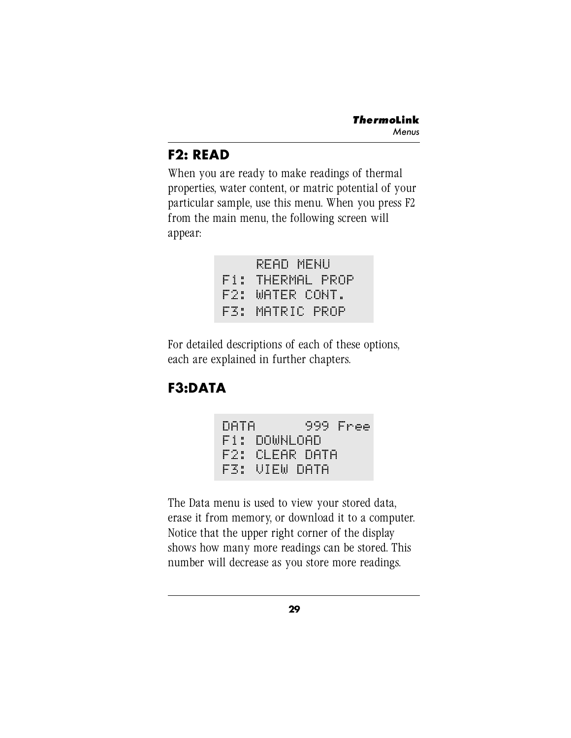# **F2: READ**

When you are ready to make readings of thermal properties, water content, or matric potential of your particular sample, use this menu. When you press F2 from the main menu, the following screen will appear:

|  | READ MENU        |  |  |  |  |  |
|--|------------------|--|--|--|--|--|
|  | F1: THERMAL PROP |  |  |  |  |  |
|  | F2: WATER CONT.  |  |  |  |  |  |
|  | F3: MATRIC PROP  |  |  |  |  |  |

For detailed descriptions of each of these options, each are explained in further chapters.

# **F3:DATA**



The Data menu is used to view your stored data, erase it from memory, or download it to a computer. Notice that the upper right corner of the display shows how many more readings can be stored. This number will decrease as you store more readings.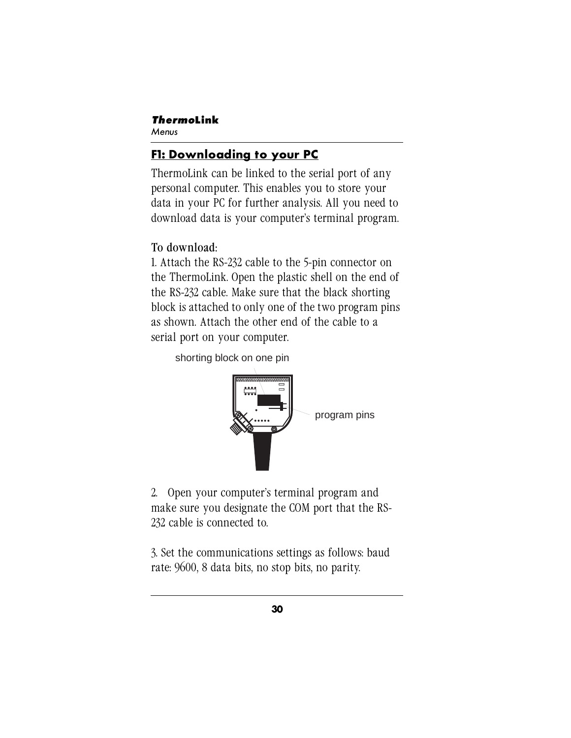## **F1: Downloading to your PC**

ThermoLink can be linked to the serial port of any personal computer. This enables you to store your data in your PC for further analysis. All you need to download data is your computer's terminal program.

## To download:

1. Attach the RS-232 cable to the 5-pin connector on the ThermoLink. Open the plastic shell on the end of the RS-232 cable. Make sure that the black shorting block is attached to only one of the two program pins as shown. Attach the other end of the cable to a serial port on your computer.

shorting block on one pin



2. Open your computer's terminal program and make sure you designate the COM port that the RS-232 cable is connected to.

3. Set the communications settings as follows: baud rate: 9600, 8 data bits, no stop bits, no parity.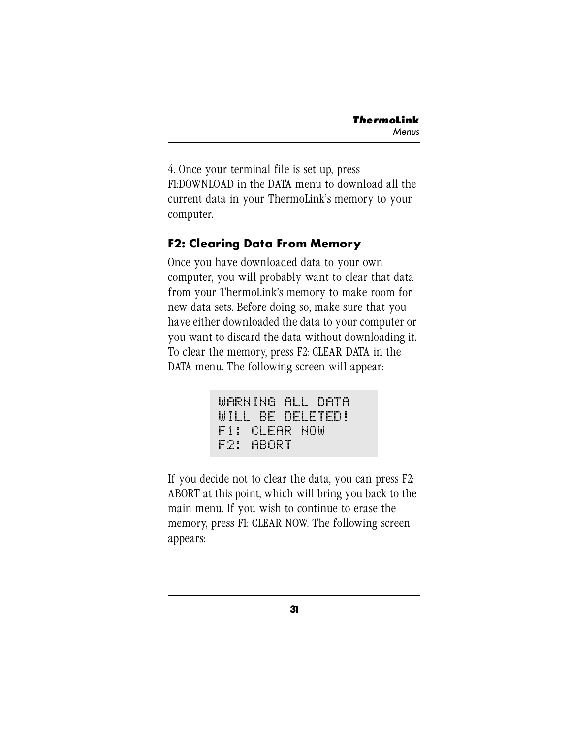4. Once your terminal file is set up, press F1:DOWNLOAD in the DATA menu to download all the current data in your ThermoLink's memory to your computer.

#### **F2: Clearing Data From Memory**

Once you have downloaded data to your own computer, you will probably want to clear that data from your ThermoLink's memory to make room for new data sets. Before doing so, make sure that you have either downloaded the data to your computer or you want to discard the data without downloading it. To clear the memory, press F2: CLEAR DATA in the DATA menu. The following screen will appear:

```
WARNING ALL DATA
WILL BE DELETED!
F1: CLEAR NOW
F2: ABORT
```
If you decide not to clear the data, you can press F2: ABORT at this point, which will bring you back to the main menu. If you wish to continue to erase the memory, press F1: CLEAR NOW. The following screen appears: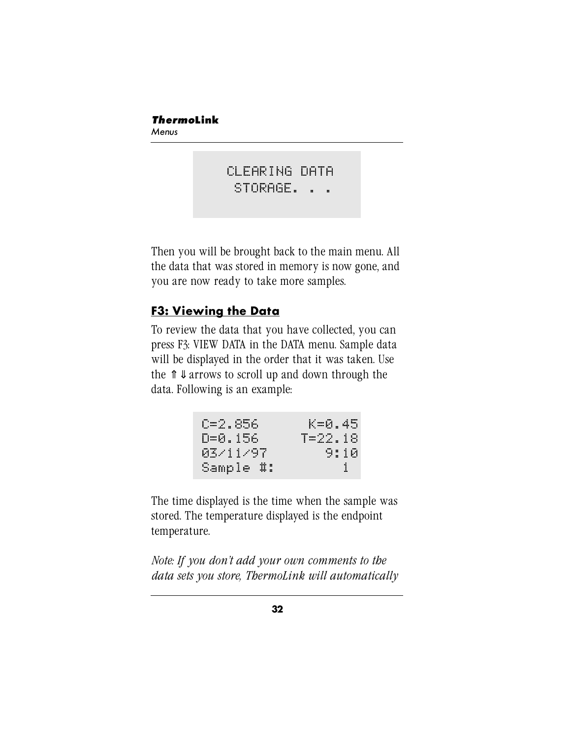CLEARING DATA STORAGE. . .

Then you will be brought back to the main menu. All the data that was stored in memory is now gone, and you are now ready to take more samples.

# **F3: Viewing the Data**

To review the data that you have collected, you can press F3: VIEW DATA in the DATA menu. Sample data will be displayed in the order that it was taken. Use the  $\hat{\mathbb{I}}$   $\downarrow$  arrows to scroll up and down through the data. Following is an example:

| C=2.856   | K=0.45  |
|-----------|---------|
| D=0.156   | T=22.18 |
| 03/11/97  | 9:10    |
| Sample #: |         |

The time displayed is the time when the sample was stored. The temperature displayed is the endpoint temperature.

*Note: If you don't add your own comments to the data sets you store, ThermoLink will automatically*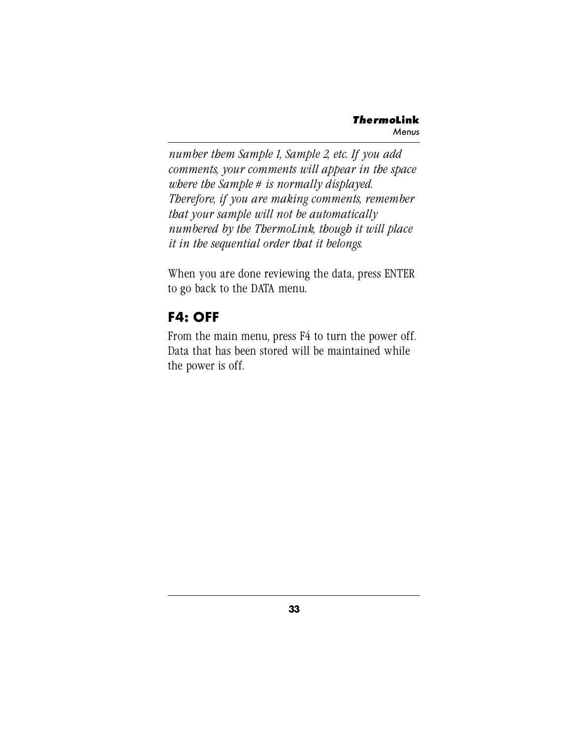*number them Sample 1, Sample 2, etc. If you add comments, your comments will appear in the space where the Sample # is normally displayed. Therefore, if you are making comments, remember that your sample will not be automatically numbered by the ThermoLink, though it will place it in the sequential order that it belongs.*

When you are done reviewing the data, press ENTER to go back to the DATA menu.

# **F4: OFF**

From the main menu, press F4 to turn the power off. Data that has been stored will be maintained while the power is off.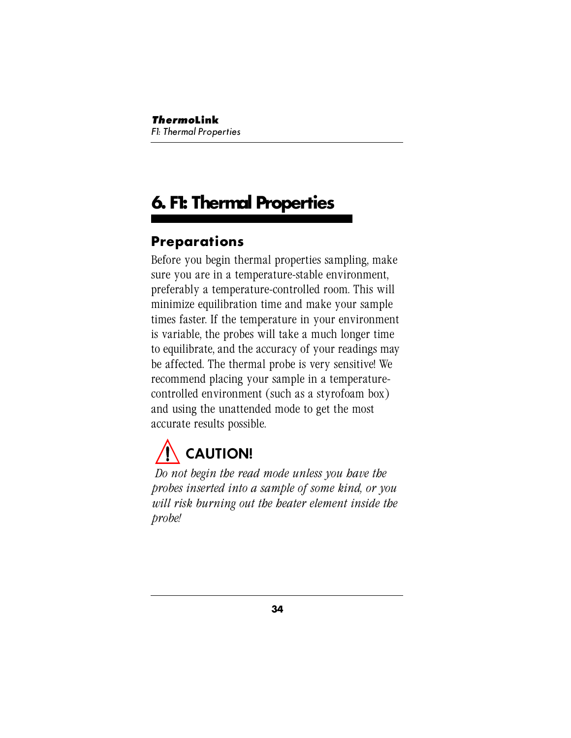# **6. F1: Thermal Properties**

# **Preparations**

Before you begin thermal properties sampling, make sure you are in a temperature-stable environment, preferably a temperature-controlled room. This will minimize equilibration time and make your sample times faster. If the temperature in your environment is variable, the probes will take a much longer time to equilibrate, and the accuracy of your readings may be affected. The thermal probe is very sensitive! We recommend placing your sample in a temperaturecontrolled environment (such as a styrofoam box) and using the unattended mode to get the most accurate results possible.

# **CAUTION!**

*Do not begin the read mode unless you have the probes inserted into a sample of some kind, or you will risk burning out the heater element inside the probe!*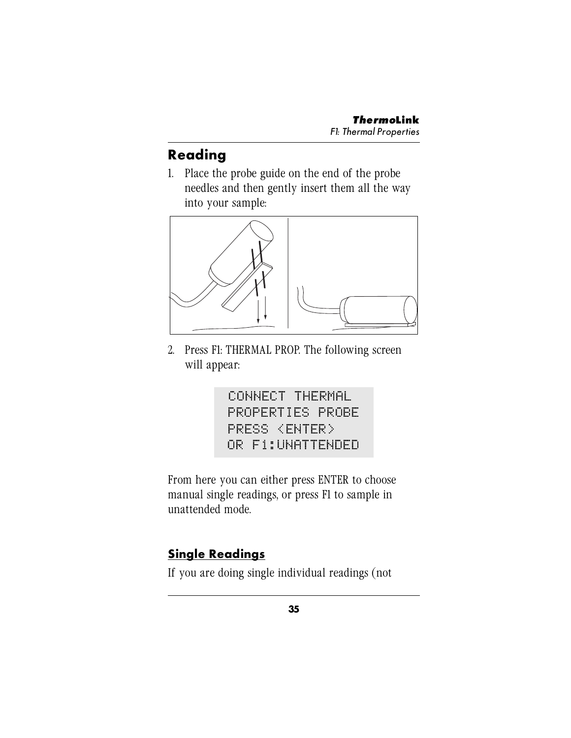# **Reading**

1. Place the probe guide on the end of the probe needles and then gently insert them all the way into your sample:



2. Press F1: THERMAL PROP. The following screen will appear:

> CONNECT THERMAL PROPERTIES PROBE PRESS <ENTER> OR F1:UNATTENDED

From here you can either press ENTER to choose manual single readings, or press F1 to sample in unattended mode.

# **Single Readings**

If you are doing single individual readings (not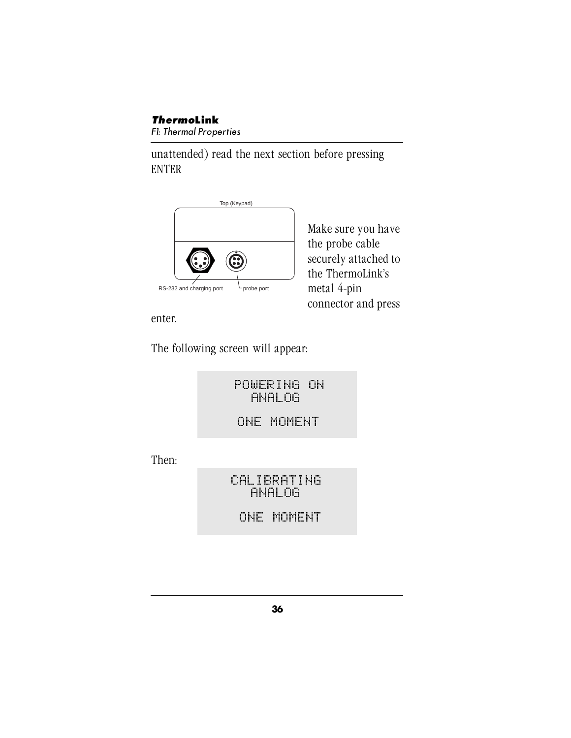unattended) read the next section before pressing ENTER



Make sure you have the probe cable securely attached to the ThermoLink's metal 4-pin connector and press

enter.

The following screen will appear:

POWERING ON ANALOG

ONE MOMENT

Then:

CALIBRATING ANALOG

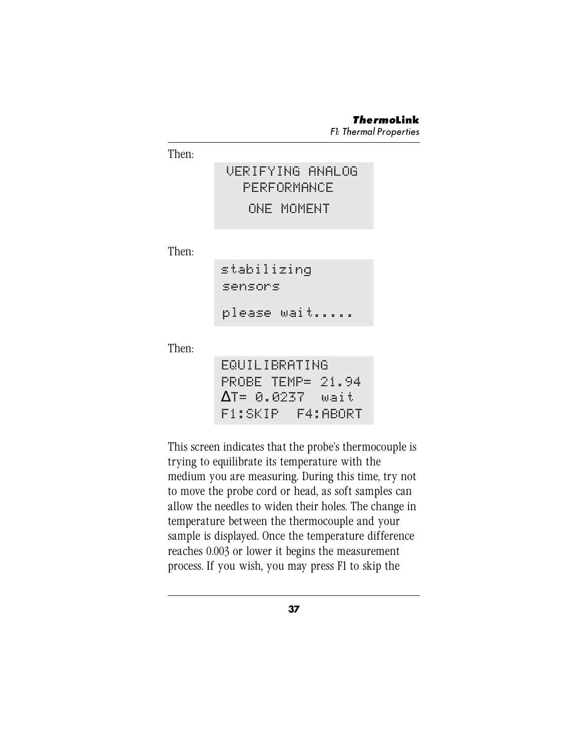Then:

# VERIFYING ANALOG PERFORMANCE ONE MOMENT

Then:

| stabilizing |             |
|-------------|-------------|
| sensors     |             |
|             | please wait |

Then:

|  |  |  | EQUILIBRATING            |  |  |
|--|--|--|--------------------------|--|--|
|  |  |  | PROBE TEMP= 21.94        |  |  |
|  |  |  | $\Delta$ T= 0.0237  wait |  |  |
|  |  |  |                          |  |  |

This screen indicates that the probe's thermocouple is trying to equilibrate its temperature with the medium you are measuring. During this time, try not to move the probe cord or head, as soft samples can allow the needles to widen their holes. The change in temperature between the thermocouple and your sample is displayed. Once the temperature difference reaches 0.003 or lower it begins the measurement process. If you wish, you may press F1 to skip the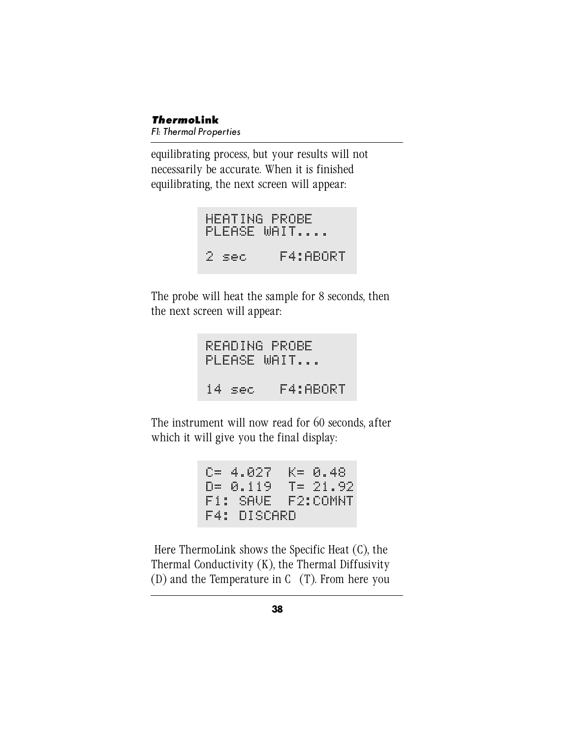equilibrating process, but your results will not necessarily be accurate. When it is finished equilibrating, the next screen will appear:

```
HEATING PROBE
PLEASE WAIT....
2 sec F4:ABORT
```
The probe will heat the sample for 8 seconds, then the next screen will appear:

READING PROBE PLEASE WAIT... 14 sec F4:ABORT

The instrument will now read for 60 seconds, after which it will give you the final display:

```
C= 4.027 K= 0.48
D= 0.119 T= 21.92
F1: SAVE F2:COMNT
F1: SAVE F2:COMNT<br>F4: DISCARD
```
 Here ThermoLink shows the Specific Heat (C), the Thermal Conductivity (K), the Thermal Diffusivity  $(D)$  and the Temperature in C  $(T)$ . From here you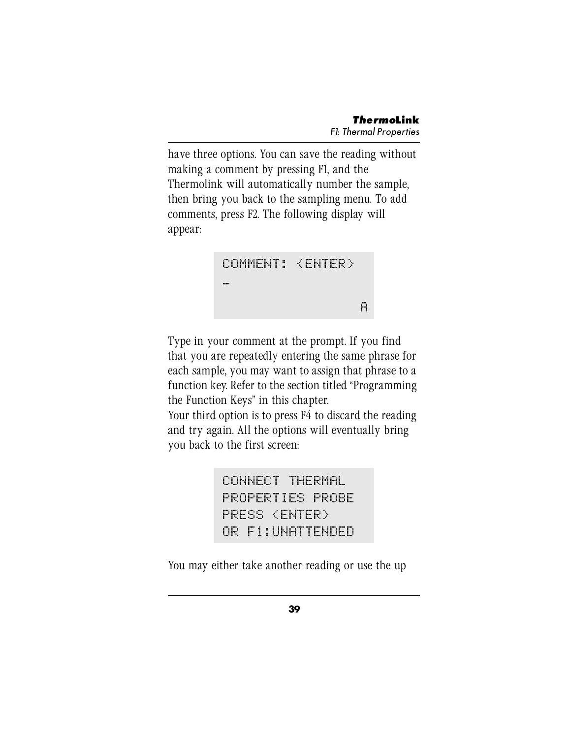have three options. You can save the reading without making a comment by pressing F1, and the Thermolink will automatically number the sample, then bring you back to the sampling menu. To add comments, press F2. The following display will appear:



Type in your comment at the prompt. If you find that you are repeatedly entering the same phrase for each sample, you may want to assign that phrase to a function key. Refer to the section titled "Programming the Function Keys" in this chapter.

Your third option is to press F4 to discard the reading and try again. All the options will eventually bring you back to the first screen:

> CONNECT THERMAL PROPERTIES PROBE PRESS <ENTER> OR F1:UNATTENDED

You may either take another reading or use the up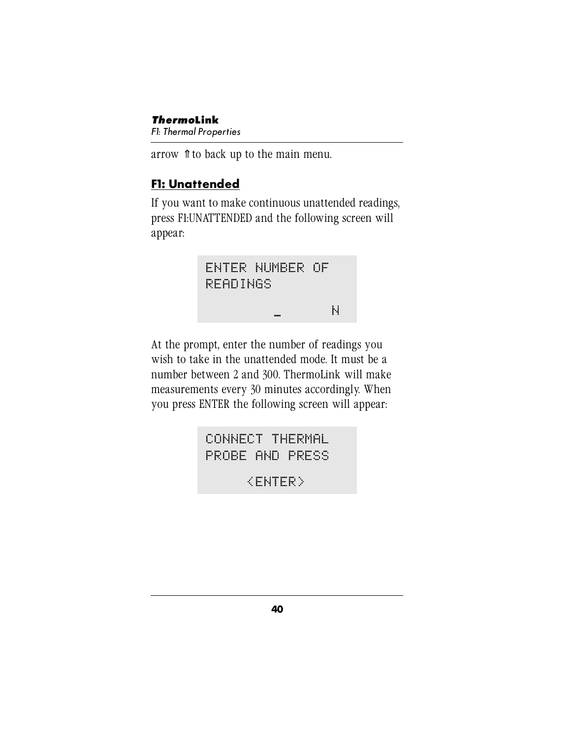*Thermo***Link** F1: Thermal Properties

arrow ⇑ to back up to the main menu.

## **F1: Unattended**

If you want to make continuous unattended readings, press F1:UNATTENDED and the following screen will appear:



At the prompt, enter the number of readings you wish to take in the unattended mode. It must be a number between 2 and 300. ThermoLink will make measurements every 30 minutes accordingly. When you press ENTER the following screen will appear:

> CONNECT THERMAL PROBE AND PRESS

> > <ENTER>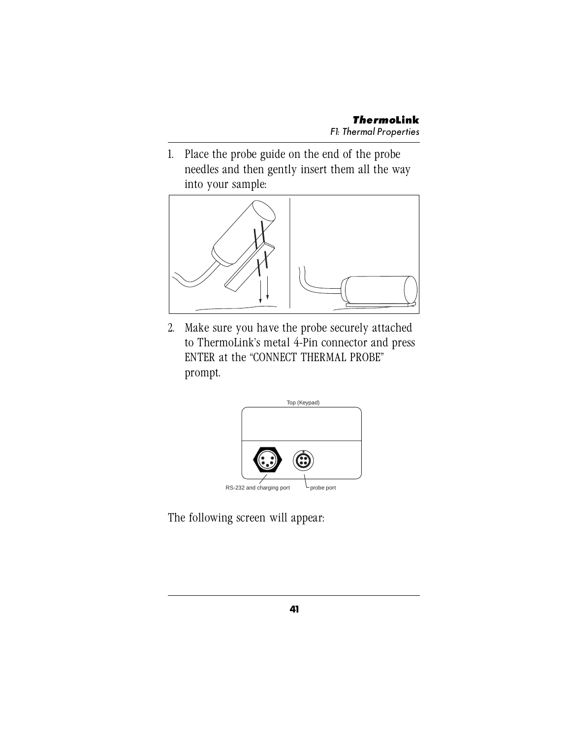1. Place the probe guide on the end of the probe needles and then gently insert them all the way into your sample:



2. Make sure you have the probe securely attached to ThermoLink's metal 4-Pin connector and press ENTER at the "CONNECT THERMAL PROBE" prompt.



The following screen will appear: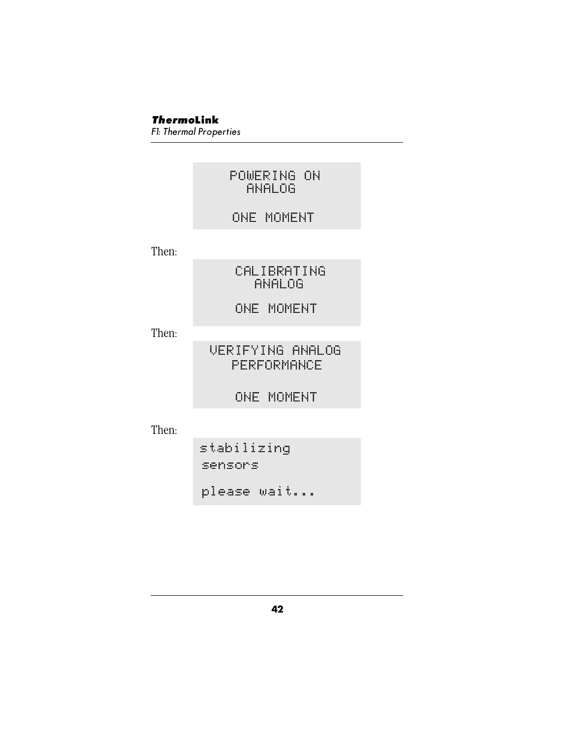#### POWERING ON ANALOG

#### ONE MOMENT

Then:

CALIBRATING ANALOG

ONE MOMENT

Then:

VERIFYING ANALOG PERFORMANCE

ONE MOMENT

Then:

stabilizing sensors please wait...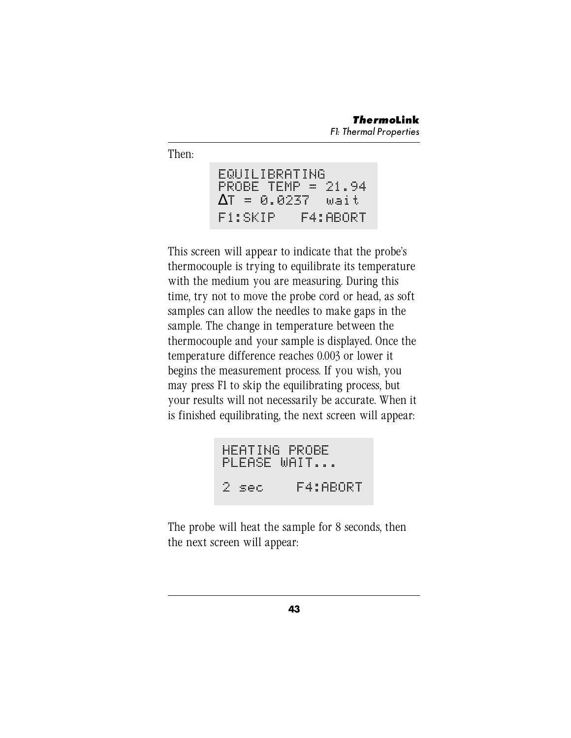Then:

EQUILIBRATING PROBE TEMP = 21.94 ∆T = 0.0237 wait F1:SKIP F4:ABORT

This screen will appear to indicate that the probe's thermocouple is trying to equilibrate its temperature with the medium you are measuring. During this time, try not to move the probe cord or head, as soft samples can allow the needles to make gaps in the sample. The change in temperature between the thermocouple and your sample is displayed. Once the temperature difference reaches 0.003 or lower it begins the measurement process. If you wish, you may press F1 to skip the equilibrating process, but your results will not necessarily be accurate. When it is finished equilibrating, the next screen will appear:

HEATING PROBE PLEASE WAIT... 2 sec F4:ABORT

The probe will heat the sample for 8 seconds, then the next screen will appear: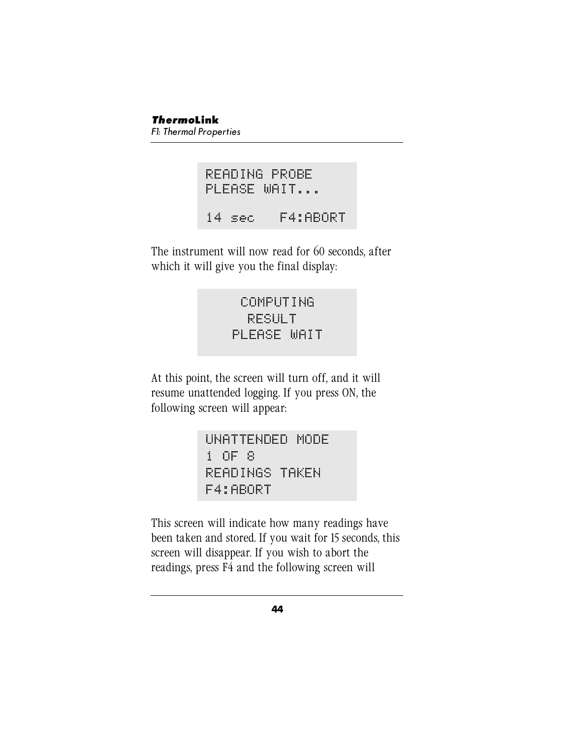READING PROBE PLEASE WAIT... 14 sec F4:ABORT

The instrument will now read for 60 seconds, after which it will give you the final display:

> COMPUTING RESULT PLEASE WAIT

At this point, the screen will turn off, and it will resume unattended logging. If you press ON, the following screen will appear:

```
UNATTENDED MODE
1 OF 8
READINGS TAKEN
F4:ABORT
```
This screen will indicate how many readings have been taken and stored. If you wait for 15 seconds, this screen will disappear. If you wish to abort the readings, press F4 and the following screen will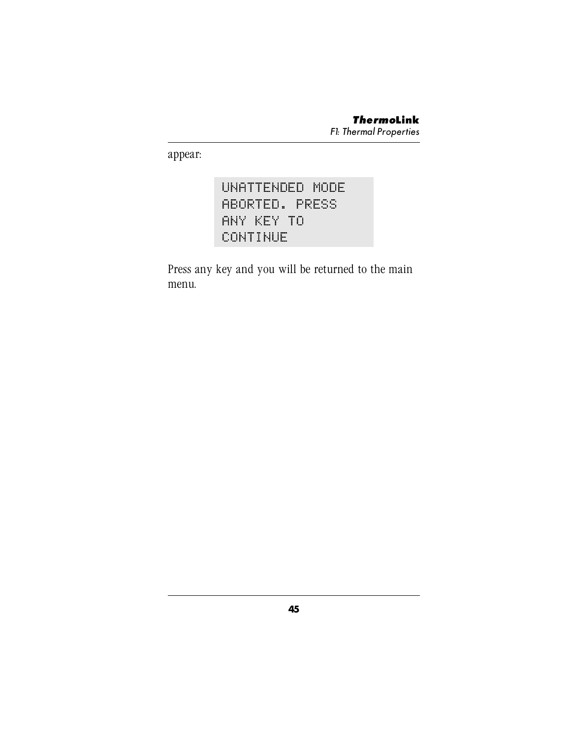appear:

# UNATTENDED MODE ABORTED. PRESS ANY KEY TO CONTINUE

Press any key and you will be returned to the main menu.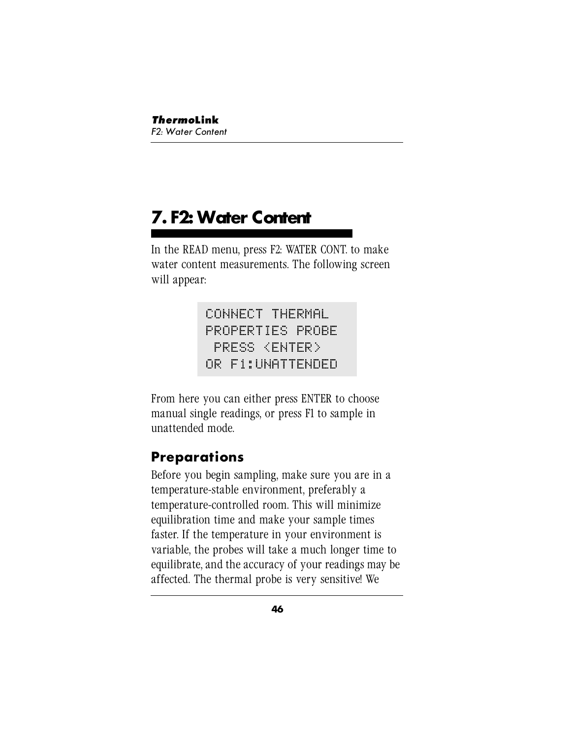# **7. F2: Water Content**

In the READ menu, press F2: WATER CONT. to make water content measurements. The following screen will appear:

> CONNECT THERMAL PROPERTIES PROBE PRESS <ENTER> OR F1:UNATTENDED

From here you can either press ENTER to choose manual single readings, or press F1 to sample in unattended mode.

# **Preparations**

Before you begin sampling, make sure you are in a temperature-stable environment, preferably a temperature-controlled room. This will minimize equilibration time and make your sample times faster. If the temperature in your environment is variable, the probes will take a much longer time to equilibrate, and the accuracy of your readings may be affected. The thermal probe is very sensitive! We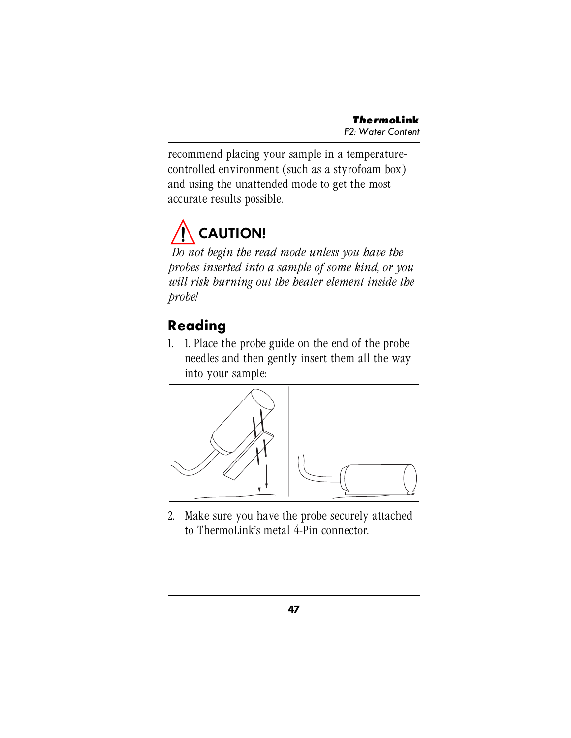recommend placing your sample in a temperaturecontrolled environment (such as a styrofoam box) and using the unattended mode to get the most accurate results possible.

# **CAUTION!**

*Do not begin the read mode unless you have the probes inserted into a sample of some kind, or you will risk burning out the heater element inside the probe!*

# **Reading**

1. 1. Place the probe guide on the end of the probe needles and then gently insert them all the way into your sample:



2. Make sure you have the probe securely attached to ThermoLink's metal 4-Pin connector.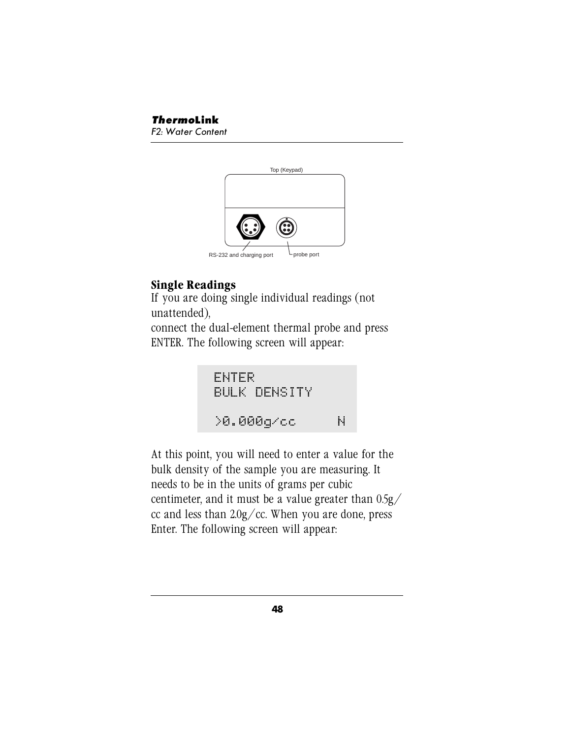

### **Single Readings**

If you are doing single individual readings (not unattended),

connect the dual-element thermal probe and press ENTER. The following screen will appear:

```
ENTER
BULK DENSITY
>0.000g/cc N
```
At this point, you will need to enter a value for the bulk density of the sample you are measuring. It needs to be in the units of grams per cubic centimeter, and it must be a value greater than 0.5g/ cc and less than  $2.0g$ /cc. When you are done, press Enter. The following screen will appear: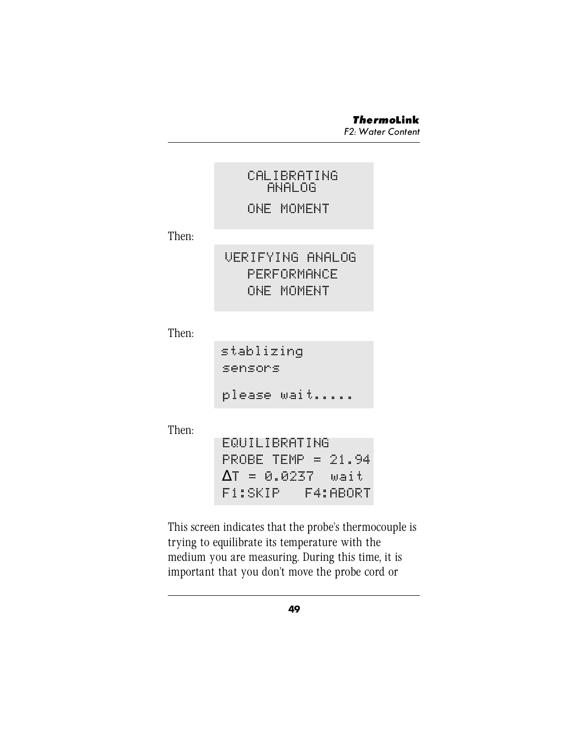|       | CALIBRATING<br>ANALOG<br>ONE MOMENT                          |
|-------|--------------------------------------------------------------|
| Then: |                                                              |
|       | VERIFYING ANALOG<br>PERFORMANCE<br>ONE MOMENT                |
| Then: |                                                              |
|       | stablizing<br>sensors                                        |
|       | please wait                                                  |
| Then: | EQUILIBRATING<br>PROBE TEMP = 21.94<br>AT = 0.0237  <br>wait |

This screen indicates that the probe's thermocouple is trying to equilibrate its temperature with the medium you are measuring. During this time, it is important that you don't move the probe cord or

F1:SKIP F4:ABORT

**49**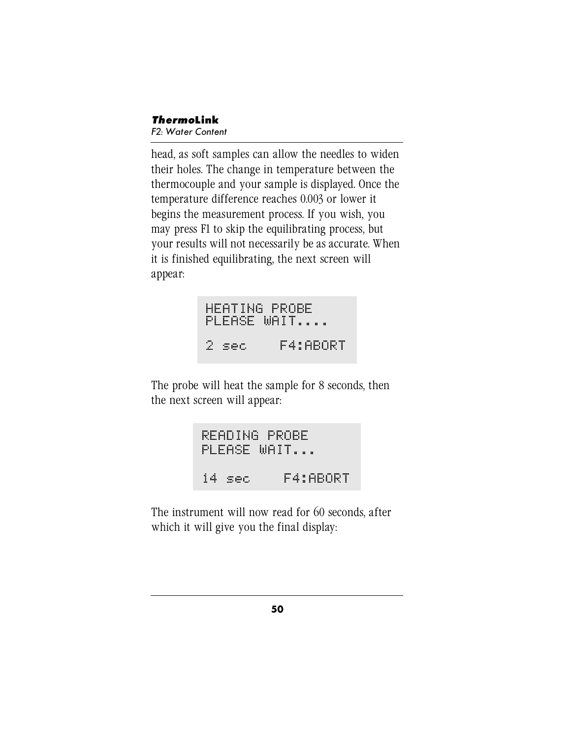head, as soft samples can allow the needles to widen their holes. The change in temperature between the thermocouple and your sample is displayed. Once the temperature difference reaches 0.003 or lower it begins the measurement process. If you wish, you may press F1 to skip the equilibrating process, but your results will not necessarily be as accurate. When it is finished equilibrating, the next screen will appear:

HEATING PROBE PLEASE WAIT.... 2 sec F4:ABORT

The probe will heat the sample for 8 seconds, then the next screen will appear:

READING PROBE PLEASE WAIT... 14 sec F4:ABORT

The instrument will now read for 60 seconds, after which it will give you the final display: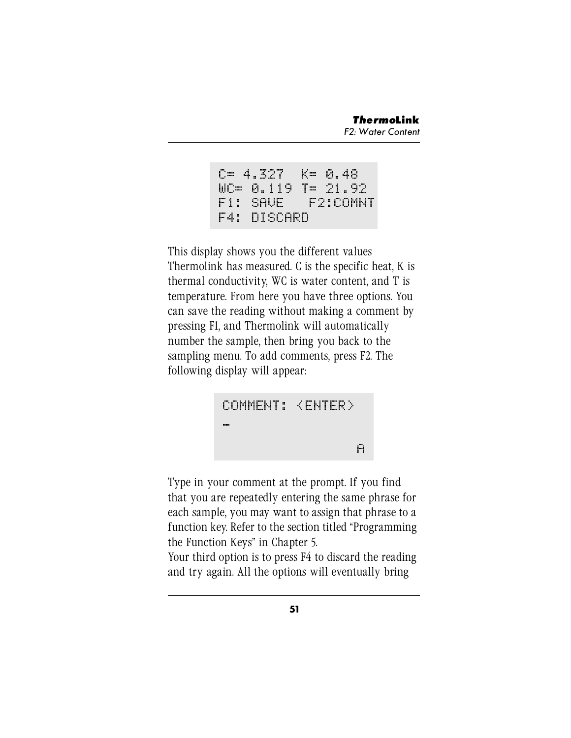```
C= 4.327 K= 0.48
WC= 0.119 T= 21.92
F1: SAVE F2:COMNT
F4: DISCARD
```
This display shows you the different values Thermolink has measured. C is the specific heat, K is thermal conductivity, WC is water content, and T is temperature. From here you have three options. You can save the reading without making a comment by pressing F1, and Thermolink will automatically number the sample, then bring you back to the sampling menu. To add comments, press F2. The following display will appear:



Type in your comment at the prompt. If you find that you are repeatedly entering the same phrase for each sample, you may want to assign that phrase to a function key. Refer to the section titled "Programming the Function Keys" in Chapter 5.

Your third option is to press F4 to discard the reading and try again. All the options will eventually bring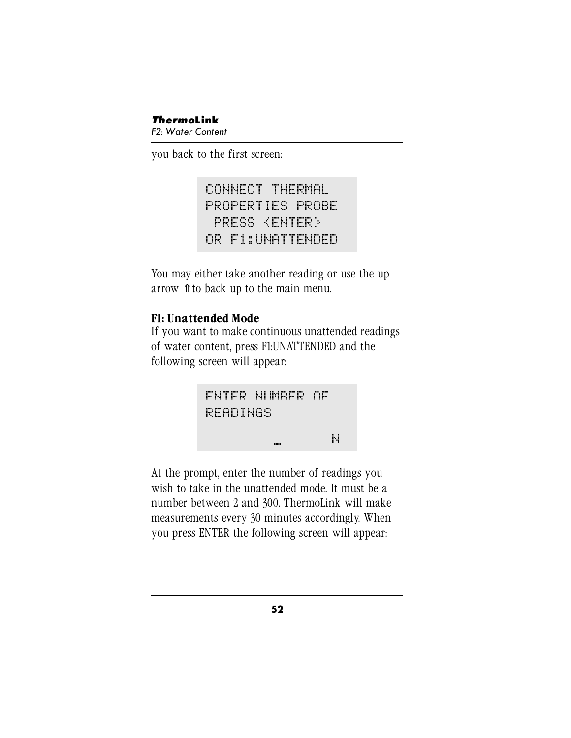#### *Thermo***Link** F2: Water Content

you back to the first screen:

CONNECT THERMAL PROPERTIES PROBE PRESS <ENTER> OR F1:UNATTENDED

You may either take another reading or use the up arrow ⇑ to back up to the main menu.

### **F1: Unattended Mode**

If you want to make continuous unattended readings of water content, press F1:UNATTENDED and the following screen will appear:



At the prompt, enter the number of readings you wish to take in the unattended mode. It must be a number between 2 and 300. ThermoLink will make measurements every 30 minutes accordingly. When you press ENTER the following screen will appear: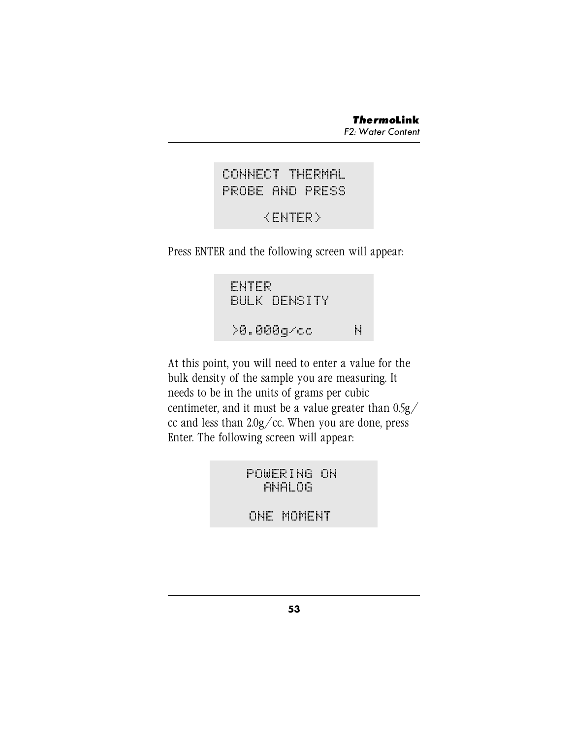## CONNECT THERMAL PROBE AND PRESS

# <ENTER>

Press ENTER and the following screen will appear:

ENTER BULK DENSITY >0.000g/cc N

At this point, you will need to enter a value for the bulk density of the sample you are measuring. It needs to be in the units of grams per cubic centimeter, and it must be a value greater than 0.5g/ cc and less than  $2.0g$ /cc. When you are done, press Enter. The following screen will appear:

> POWERING ON ANALOG ONE MOMENT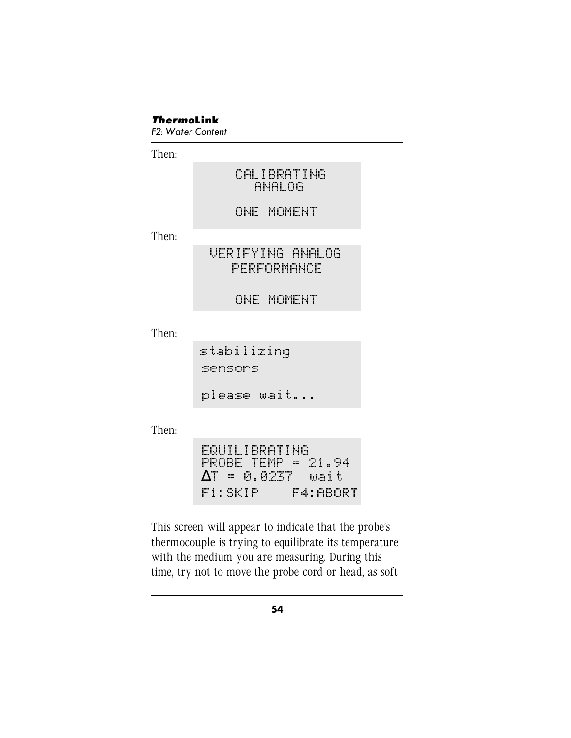#### *Thermo***Link**

F2: Water Content

Then:

#### CALIBRATING ANALOG

### ONE MOMENT

Then:

# VERIFYING ANALOG PERFORMANCE

ONE MOMENT

Then:

stabilizing sensors please wait...

Then:

EQUILIBRATING PROBE TEMP = 21.94 ∆T = 0.0237 wait F1:SKIP F4:ABORT

This screen will appear to indicate that the probe's thermocouple is trying to equilibrate its temperature with the medium you are measuring. During this time, try not to move the probe cord or head, as soft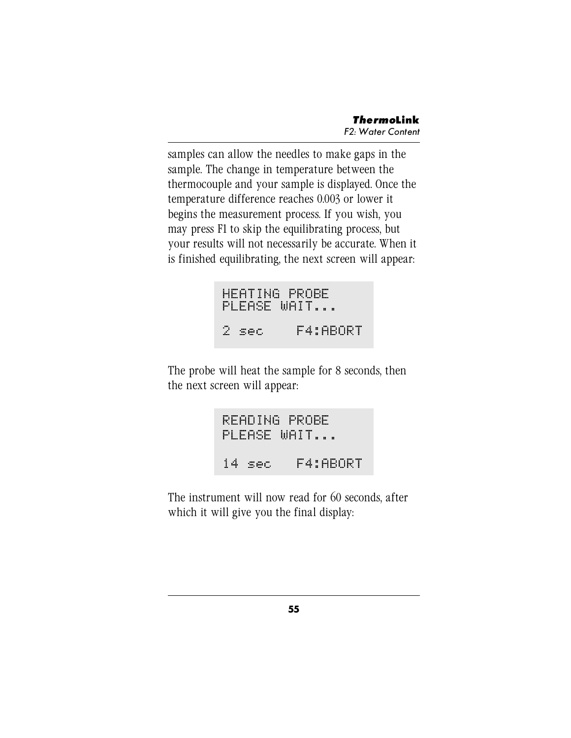samples can allow the needles to make gaps in the sample. The change in temperature between the thermocouple and your sample is displayed. Once the temperature difference reaches 0.003 or lower it begins the measurement process. If you wish, you may press F1 to skip the equilibrating process, but your results will not necessarily be accurate. When it is finished equilibrating, the next screen will appear:

```
HEATING PROBE
PLEASE WAIT...
2 sec F4:ABORT
```
The probe will heat the sample for 8 seconds, then the next screen will appear:

```
READING PROBE
PLEASE WAIT...
14 sec F4:ABORT
```
The instrument will now read for 60 seconds, after which it will give you the final display: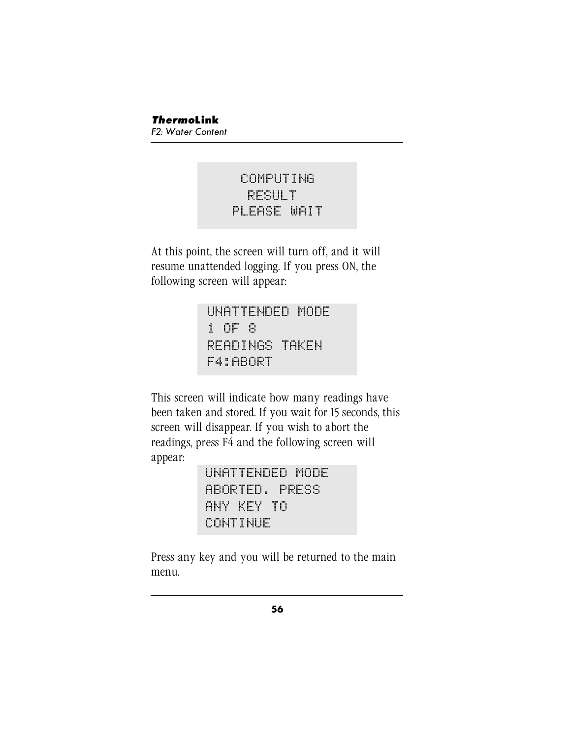# COMPUTING RESULT PLEASE WAIT

At this point, the screen will turn off, and it will resume unattended logging. If you press ON, the following screen will appear:

> UNATTENDED MODE 1 OF 8 READINGS TAKEN F4:ABORT

This screen will indicate how many readings have been taken and stored. If you wait for 15 seconds, this screen will disappear. If you wish to abort the readings, press F4 and the following screen will appear:

> UNATTENDED MODE ABORTED. PRESS ANY KEY TO CONTINUE

Press any key and you will be returned to the main menu.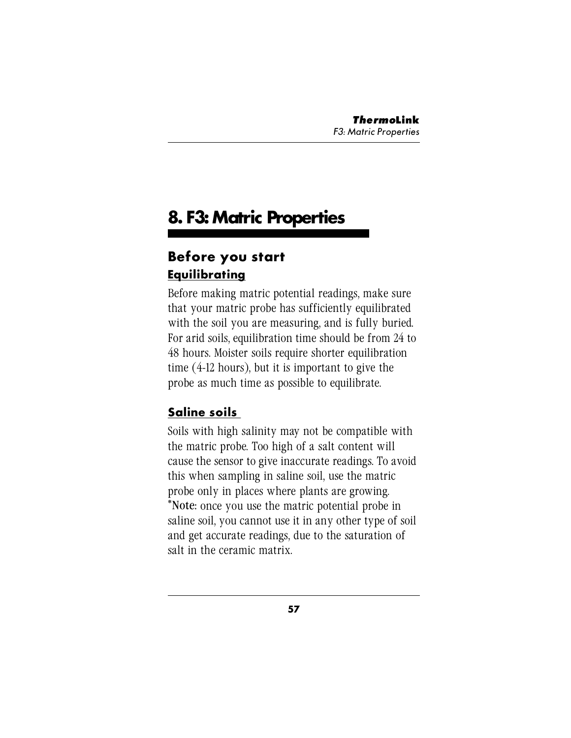# **8. F3: Matric Properties**

# **Before you start Equilibrating**

Before making matric potential readings, make sure that your matric probe has sufficiently equilibrated with the soil you are measuring, and is fully buried. For arid soils, equilibration time should be from 24 to 48 hours. Moister soils require shorter equilibration time (4-12 hours), but it is important to give the probe as much time as possible to equilibrate.

# **Saline soils**

Soils with high salinity may not be compatible with the matric probe. Too high of a salt content will cause the sensor to give inaccurate readings. To avoid this when sampling in saline soil, use the matric probe only in places where plants are growing. \*Note: once you use the matric potential probe in saline soil, you cannot use it in any other type of soil and get accurate readings, due to the saturation of salt in the ceramic matrix.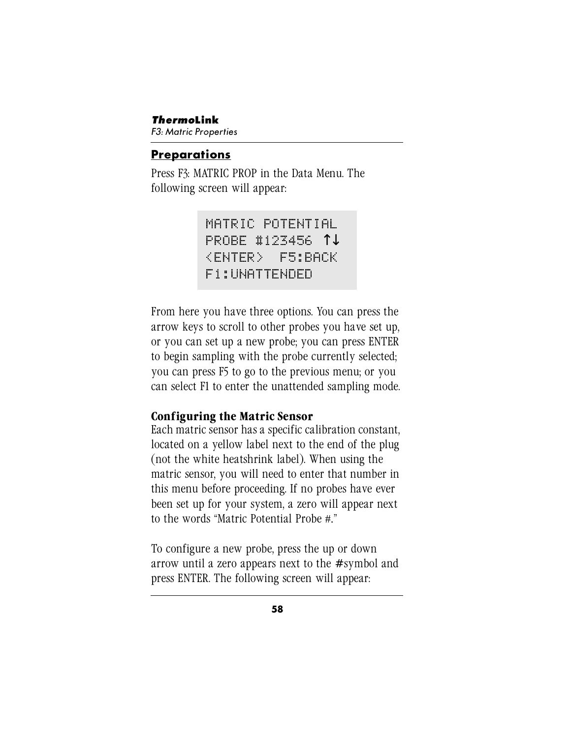### **Preparations**

Press F3: MATRIC PROP in the Data Menu. The following screen will appear:

> MATRIC POTENTIAL PROBE #123456 ↑↓ <ENTER> F5:BACK F1:UNATTENDED

From here you have three options. You can press the arrow keys to scroll to other probes you have set up, or you can set up a new probe; you can press ENTER to begin sampling with the probe currently selected; you can press F5 to go to the previous menu; or you can select F1 to enter the unattended sampling mode.

### **Configuring the Matric Sensor**

Each matric sensor has a specific calibration constant, located on a yellow label next to the end of the plug (not the white heatshrink label). When using the matric sensor, you will need to enter that number in this menu before proceeding. If no probes have ever been set up for your system, a zero will appear next to the words "Matric Potential Probe #."

To configure a new probe, press the up or down arrow until a zero appears next to the # symbol and press ENTER. The following screen will appear: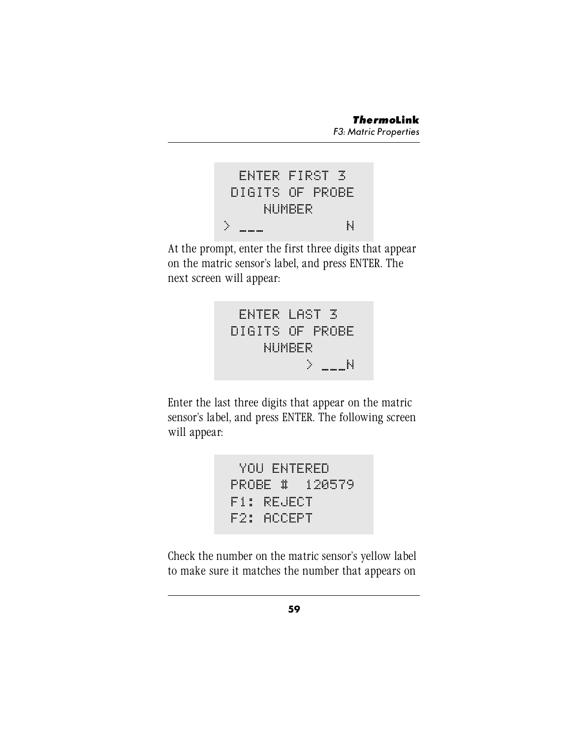

At the prompt, enter the first three digits that appear on the matric sensor's label, and press ENTER. The next screen will appear:



Enter the last three digits that appear on the matric sensor's label, and press ENTER. The following screen will appear:

```
YOU ENTERED
PROBE # 120579
F1: REJECT
F2: ACCEPT
```
Check the number on the matric sensor's yellow label to make sure it matches the number that appears on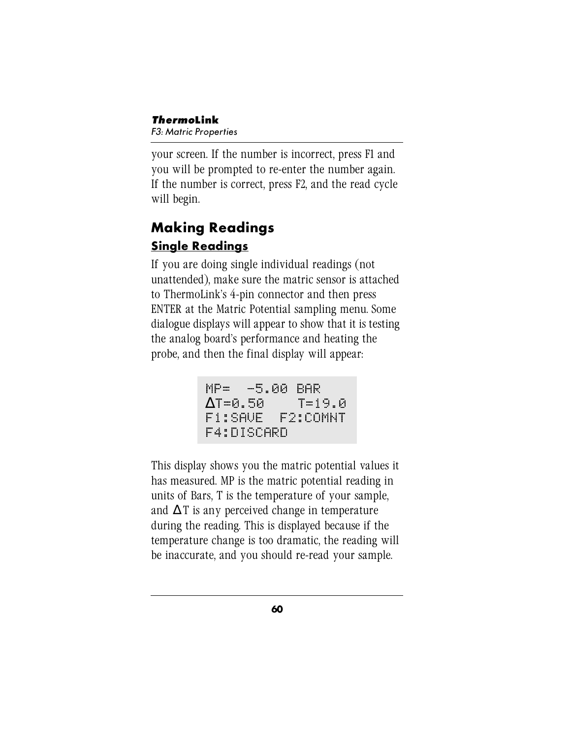your screen. If the number is incorrect, press F1 and you will be prompted to re-enter the number again. If the number is correct, press F2, and the read cycle will begin.

# **Making Readings Single Readings**

If you are doing single individual readings (not unattended), make sure the matric sensor is attached to ThermoLink's 4-pin connector and then press ENTER at the Matric Potential sampling menu. Some dialogue displays will appear to show that it is testing the analog board's performance and heating the probe, and then the final display will appear:

```
MP= -5.00 BAR
∆T=0.50 T=19.0
F1:SAVE F2:COMNT
F4:DISCARD
```
This display shows you the matric potential values it has measured. MP is the matric potential reading in units of Bars, T is the temperature of your sample, and  $\Delta T$  is any perceived change in temperature during the reading. This is displayed because if the temperature change is too dramatic, the reading will be inaccurate, and you should re-read your sample.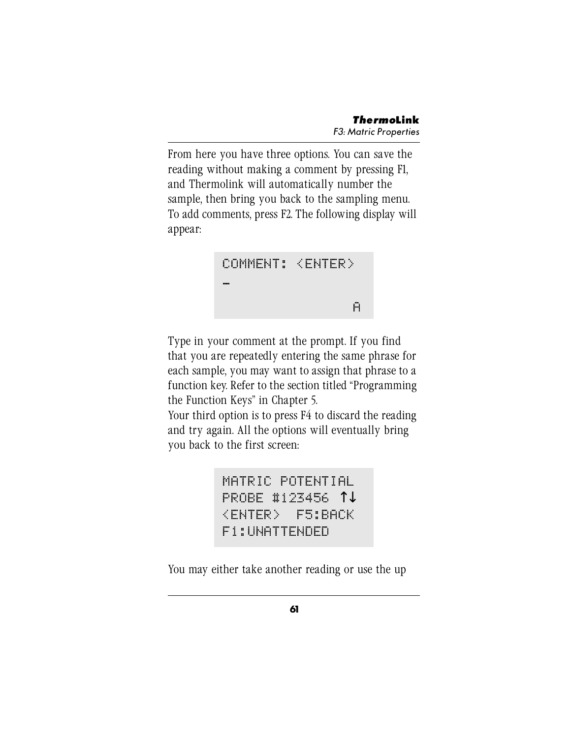From here you have three options. You can save the reading without making a comment by pressing F1, and Thermolink will automatically number the sample, then bring you back to the sampling menu. To add comments, press F2. The following display will appear:



Type in your comment at the prompt. If you find that you are repeatedly entering the same phrase for each sample, you may want to assign that phrase to a function key. Refer to the section titled "Programming the Function Keys" in Chapter 5.

Your third option is to press F4 to discard the reading and try again. All the options will eventually bring you back to the first screen:

> MATRIC POTENTIAL PROBE #123456 ↑↓ <ENTER> F5:BACK F1:UNATTENDED

You may either take another reading or use the up

**61**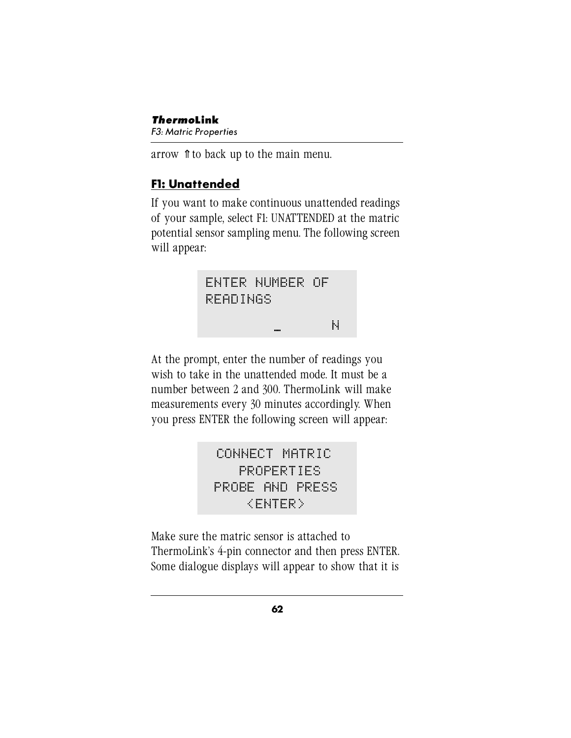*Thermo***Link** F3: Matric Properties

arrow ⇑ to back up to the main menu.

## **F1: Unattended**

If you want to make continuous unattended readings of your sample, select F1: UNATTENDED at the matric potential sensor sampling menu. The following screen will appear:



At the prompt, enter the number of readings you wish to take in the unattended mode. It must be a number between 2 and 300. ThermoLink will make measurements every 30 minutes accordingly. When you press ENTER the following screen will appear:

> CONNECT MATRIC PROPERTIES PROBE AND PRESS <ENTER>

Make sure the matric sensor is attached to ThermoLink's 4-pin connector and then press ENTER. Some dialogue displays will appear to show that it is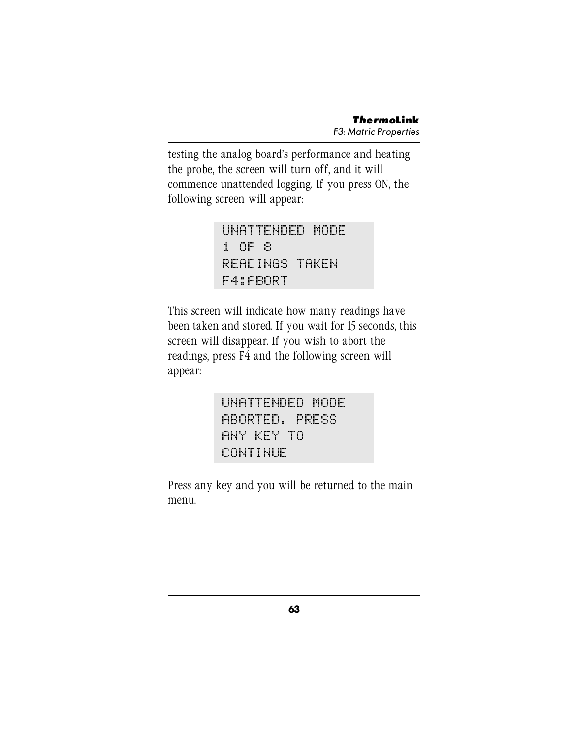testing the analog board's performance and heating the probe, the screen will turn off, and it will commence unattended logging. If you press ON, the following screen will appear:

> UNATTENDED MODE 1 OF 8 READINGS TAKEN F4:ABORT

This screen will indicate how many readings have been taken and stored. If you wait for 15 seconds, this screen will disappear. If you wish to abort the readings, press F4 and the following screen will appear:

> UNATTENDED MODE ABORTED. PRESS ANY KEY TO CONTINUE

Press any key and you will be returned to the main menu.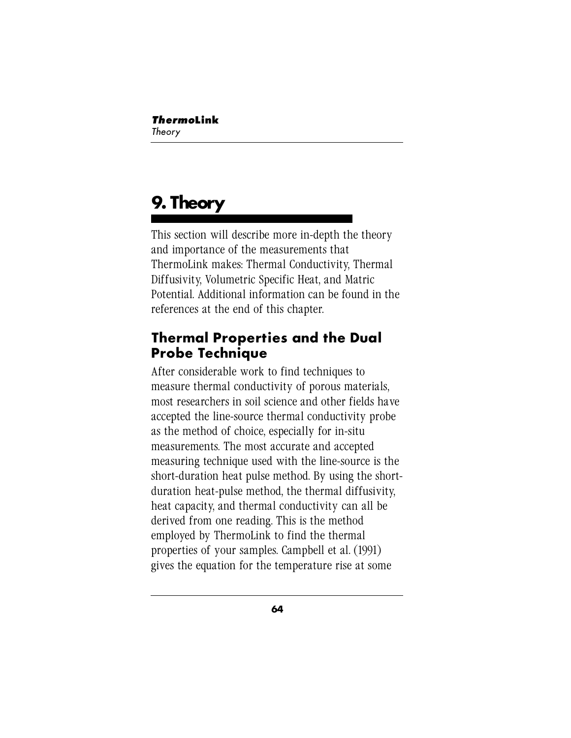# **9. Theory**

This section will describe more in-depth the theory and importance of the measurements that ThermoLink makes: Thermal Conductivity, Thermal Diffusivity, Volumetric Specific Heat, and Matric Potential. Additional information can be found in the references at the end of this chapter.

# **Thermal Properties and the Dual Probe Technique**

After considerable work to find techniques to measure thermal conductivity of porous materials, most researchers in soil science and other fields have accepted the line-source thermal conductivity probe as the method of choice, especially for in-situ measurements. The most accurate and accepted measuring technique used with the line-source is the short-duration heat pulse method. By using the shortduration heat-pulse method, the thermal diffusivity, heat capacity, and thermal conductivity can all be derived from one reading. This is the method employed by ThermoLink to find the thermal properties of your samples. Campbell et al. (1991) gives the equation for the temperature rise at some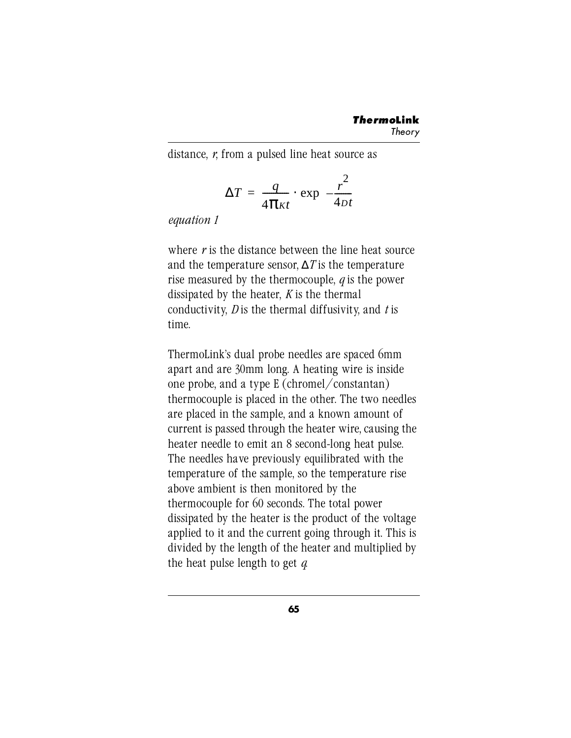distance, *r*, from a pulsed line heat source as

$$
\Delta T = \frac{q}{4\pi\kappa t} \cdot \exp\left(-\frac{r^2}{4Dt}\right)
$$

*equation 1*

where *r* is the distance between the line heat source and the temperature sensor, ∆*T* is the temperature rise measured by the thermocouple, *q* is the power dissipated by the heater, *K* is the thermal conductivity, *D* is the thermal diffusivity, and *t* is time.

ThermoLink's dual probe needles are spaced 6mm apart and are 30mm long. A heating wire is inside one probe, and a type E (chromel/constantan) thermocouple is placed in the other. The two needles are placed in the sample, and a known amount of current is passed through the heater wire, causing the heater needle to emit an 8 second-long heat pulse. The needles have previously equilibrated with the temperature of the sample, so the temperature rise above ambient is then monitored by the thermocouple for 60 seconds. The total power dissipated by the heater is the product of the voltage applied to it and the current going through it. This is divided by the length of the heater and multiplied by the heat pulse length to get *q*.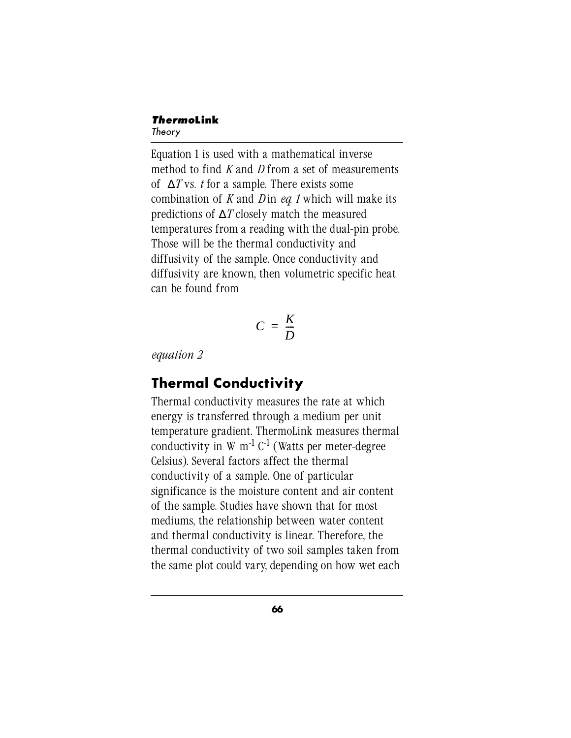#### *Thermo***Link** Theory

Equation 1 is used with a mathematical inverse method to find *K* and *D* from a set of measurements of ∆*T* vs. *t* for a sample. There exists some combination of *K* and *D* in *eq. 1* which will make its predictions of ∆*T* closely match the measured temperatures from a reading with the dual-pin probe. Those will be the thermal conductivity and diffusivity of the sample. Once conductivity and diffusivity are known, then volumetric specific heat can be found from

$$
C = \frac{K}{D}
$$

*equation 2*

# **Thermal Conductivity**

Thermal conductivity measures the rate at which energy is transferred through a medium per unit temperature gradient. ThermoLink measures thermal conductivity in  $W$  m<sup>-1</sup>  $C^{-1}$  (Watts per meter-degree Celsius). Several factors affect the thermal conductivity of a sample. One of particular significance is the moisture content and air content of the sample. Studies have shown that for most mediums, the relationship between water content and thermal conductivity is linear. Therefore, the thermal conductivity of two soil samples taken from the same plot could vary, depending on how wet each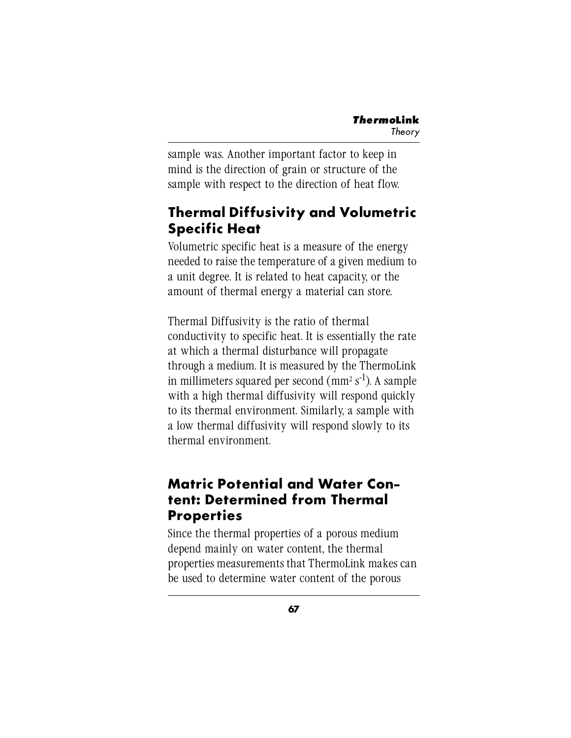sample was. Another important factor to keep in mind is the direction of grain or structure of the sample with respect to the direction of heat flow.

# **Thermal Diffusivity and Volumetric Specific Heat**

Volumetric specific heat is a measure of the energy needed to raise the temperature of a given medium to a unit degree. It is related to heat capacity, or the amount of thermal energy a material can store.

Thermal Diffusivity is the ratio of thermal conductivity to specific heat. It is essentially the rate at which a thermal disturbance will propagate through a medium. It is measured by the ThermoLink in millimeters squared per second  $\rm (mm^2 \, s^{\text{-}1})$ . A sample with a high thermal diffusivity will respond quickly to its thermal environment. Similarly, a sample with a low thermal diffusivity will respond slowly to its thermal environment.

# **Matric Potential and Water Content: Determined from Thermal Properties**

Since the thermal properties of a porous medium depend mainly on water content, the thermal properties measurements that ThermoLink makes can be used to determine water content of the porous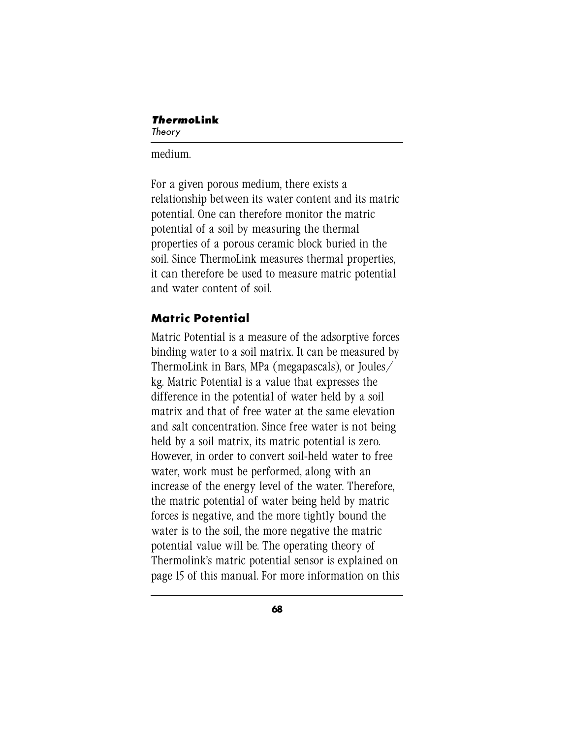#### medium.

For a given porous medium, there exists a relationship between its water content and its matric potential. One can therefore monitor the matric potential of a soil by measuring the thermal properties of a porous ceramic block buried in the soil. Since ThermoLink measures thermal properties, it can therefore be used to measure matric potential and water content of soil.

### **Matric Potential**

Matric Potential is a measure of the adsorptive forces binding water to a soil matrix. It can be measured by ThermoLink in Bars, MPa (megapascals), or Joules/ kg. Matric Potential is a value that expresses the difference in the potential of water held by a soil matrix and that of free water at the same elevation and salt concentration. Since free water is not being held by a soil matrix, its matric potential is zero. However, in order to convert soil-held water to free water, work must be performed, along with an increase of the energy level of the water. Therefore, the matric potential of water being held by matric forces is negative, and the more tightly bound the water is to the soil, the more negative the matric potential value will be. The operating theory of Thermolink's matric potential sensor is explained on page 15 of this manual. For more information on this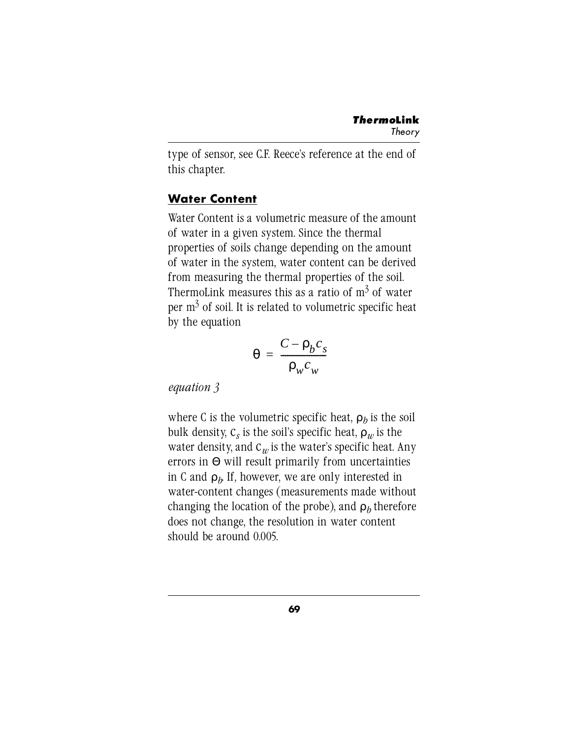type of sensor, see C.F. Reece's reference at the end of this chapter.

### **Water Content**

Water Content is a volumetric measure of the amount of water in a given system. Since the thermal properties of soils change depending on the amount of water in the system, water content can be derived from measuring the thermal properties of the soil. ThermoLink measures this as a ratio of  $\mathrm{m}^3$  of water per  $\mathrm{m}^3$  of soil. It is related to volumetric specific heat by the equation

$$
\theta = \frac{C - \rho_b c_s}{\rho_w c_w}
$$

*equation 3*

where C is the volumetric specific heat,  $\rho_h$  is the soil bulk density,  $C_s$  is the soil's specific heat,  $\rho_w$  is the water density, and  $C_w$  is the water's specific heat. Any errors in  $\Theta$  will result primarily from uncertainties in C and  $\rho_h$  If, however, we are only interested in water-content changes (measurements made without changing the location of the probe), and  $\rho_h$  therefore does not change, the resolution in water content should be around 0.005.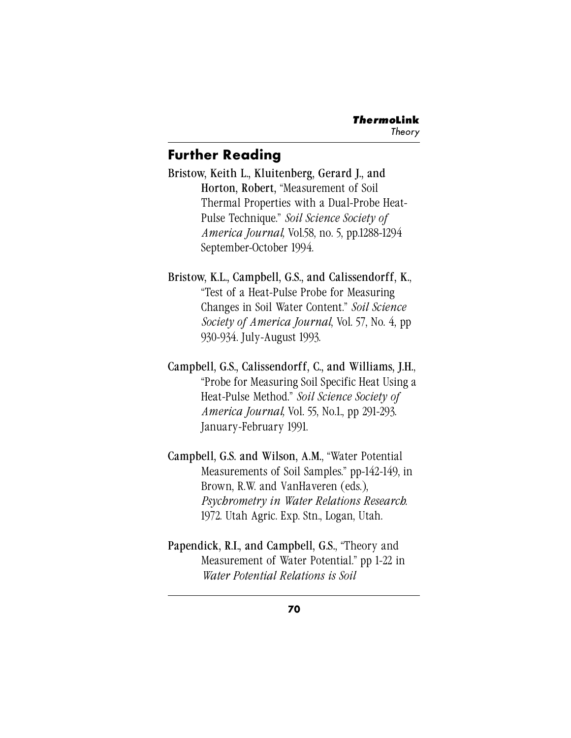### **Further Reading**

Bristow, Keith L., Kluitenberg, Gerard J., and Horton, Robert, "Measurement of Soil Thermal Properties with a Dual-Probe Heat-Pulse Technique." *Soil Science Society of America Journal,* Vol.58, no. 5, pp.1288-1294 September-October 1994.

Bristow, K.L., Campbell, G.S., and Calissendorff, K., "Test of a Heat-Pulse Probe for Measuring Changes in Soil Water Content." *Soil Science Society of America Journal*, Vol. 57, No. 4, pp 930-934. July-August 1993.

Campbell, G.S., Calissendorff, C., and Williams, J.H., "Probe for Measuring Soil Specific Heat Using a Heat-Pulse Method." *Soil Science Society of America Journal,* Vol. 55, No.1., pp 291-293. January-February 1991.

Campbell, G.S. and Wilson, A.M., "Water Potential Measurements of Soil Samples." pp-142-149, in Brown, R.W. and VanHaveren (eds.), *Psychrometry in Water Relations Research.* 1972. Utah Agric. Exp. Stn., Logan, Utah.

Papendick, R.I., and Campbell, G.S., "Theory and Measurement of Water Potential." pp 1-22 in *Water Potential Relations is Soil*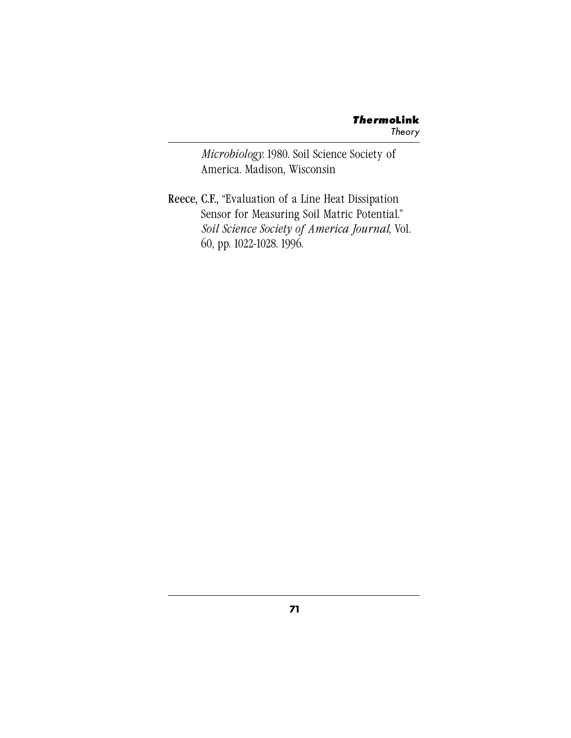*Microbiology.* 1980. Soil Science Society of America. Madison, Wisconsin

Reece, C.F., "Evaluation of a Line Heat Dissipation Sensor for Measuring Soil Matric Potential." *Soil Science Society of America Journal*, Vol. 60, pp. 1022-1028. 1996.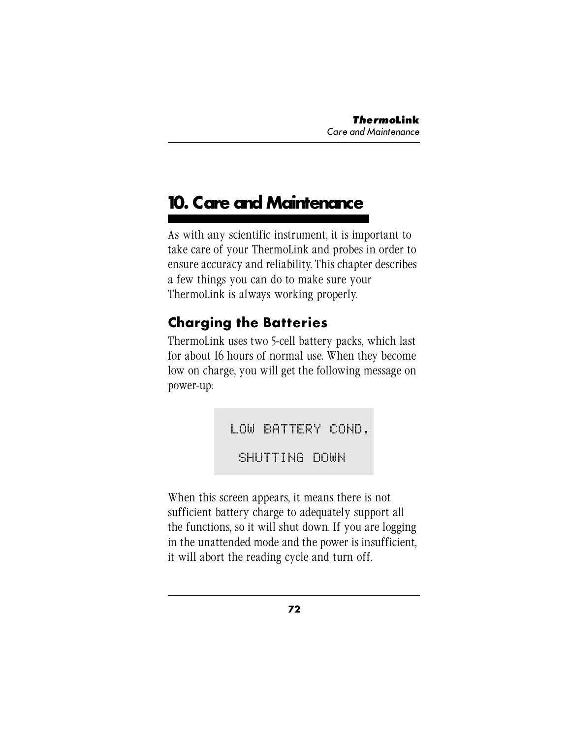# **10. Care and Maintenance**

As with any scientific instrument, it is important to take care of your ThermoLink and probes in order to ensure accuracy and reliability. This chapter describes a few things you can do to make sure your ThermoLink is always working properly.

## **Charging the Batteries**

ThermoLink uses two 5-cell battery packs, which last for about 16 hours of normal use. When they become low on charge, you will get the following message on power-up:

LOW BATTERY COND.

SHUTTING DOWN

When this screen appears, it means there is not sufficient battery charge to adequately support all the functions, so it will shut down. If you are logging in the unattended mode and the power is insufficient, it will abort the reading cycle and turn off.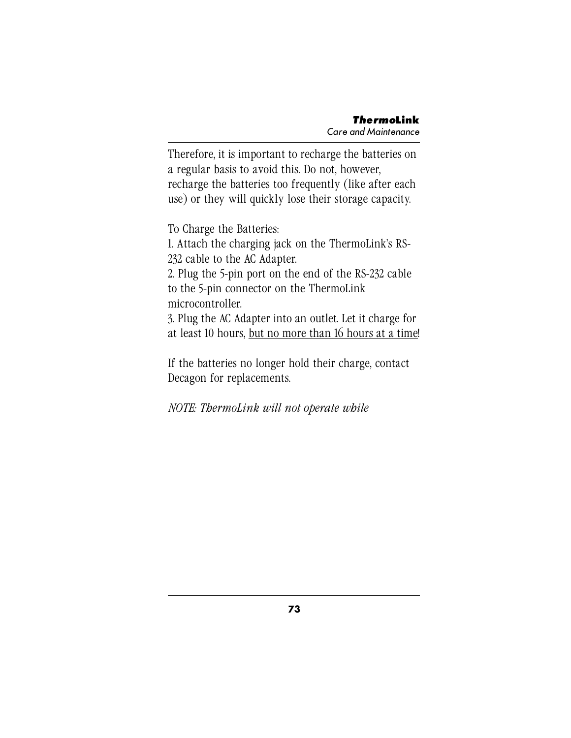Therefore, it is important to recharge the batteries on a regular basis to avoid this. Do not, however, recharge the batteries too frequently (like after each use) or they will quickly lose their storage capacity.

To Charge the Batteries:

1. Attach the charging jack on the ThermoLink's RS-232 cable to the AC Adapter.

2. Plug the 5-pin port on the end of the RS-232 cable to the 5-pin connector on the ThermoLink microcontroller.

3. Plug the AC Adapter into an outlet. Let it charge for at least 10 hours, but no more than 16 hours at a time!

If the batteries no longer hold their charge, contact Decagon for replacements.

*NOTE: ThermoLink will not operate while*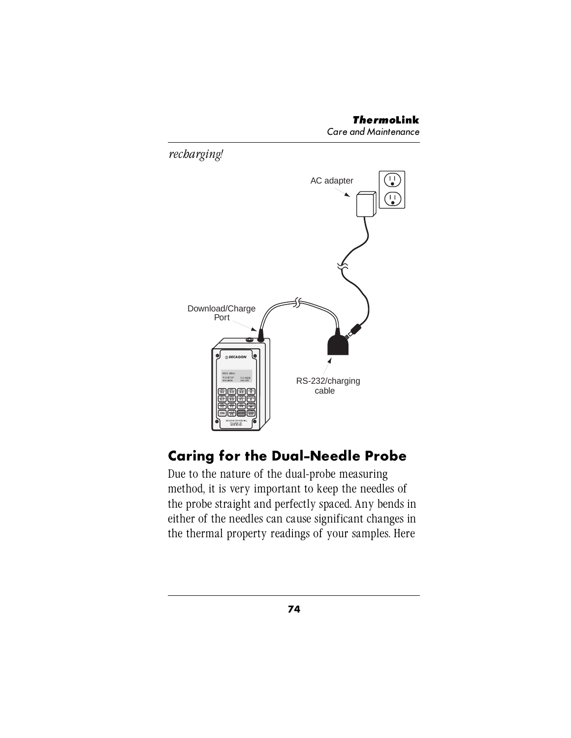

### **Caring for the Dual-Needle Probe**

Due to the nature of the dual-probe measuring method, it is very important to keep the needles of the probe straight and perfectly spaced. Any bends in either of the needles can cause significant changes in the thermal property readings of your samples. Here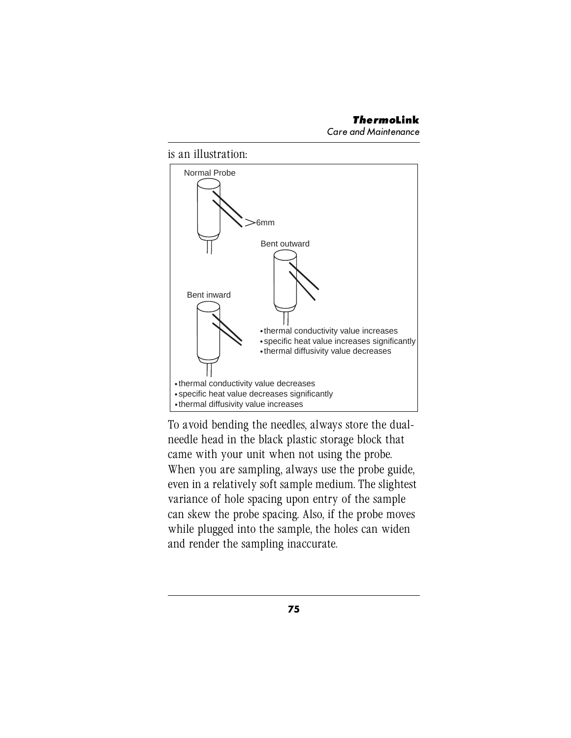Care and Maintenance





To avoid bending the needles, always store the dualneedle head in the black plastic storage block that came with your unit when not using the probe. When you are sampling, always use the probe guide, even in a relatively soft sample medium. The slightest variance of hole spacing upon entry of the sample can skew the probe spacing. Also, if the probe moves while plugged into the sample, the holes can widen and render the sampling inaccurate.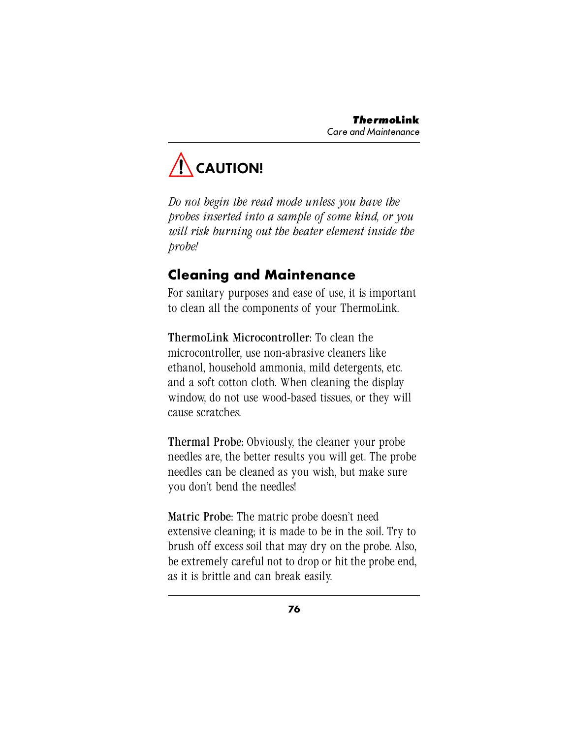

*Do not begin the read mode unless you have the probes inserted into a sample of some kind, or you will risk burning out the heater element inside the probe!*

### **Cleaning and Maintenance**

For sanitary purposes and ease of use, it is important to clean all the components of your ThermoLink.

ThermoLink Microcontroller: To clean the microcontroller, use non-abrasive cleaners like ethanol, household ammonia, mild detergents, etc. and a soft cotton cloth. When cleaning the display window, do not use wood-based tissues, or they will cause scratches.

Thermal Probe: Obviously, the cleaner your probe needles are, the better results you will get. The probe needles can be cleaned as you wish, but make sure you don't bend the needles!

Matric Probe: The matric probe doesn't need extensive cleaning; it is made to be in the soil. Try to brush off excess soil that may dry on the probe. Also, be extremely careful not to drop or hit the probe end, as it is brittle and can break easily.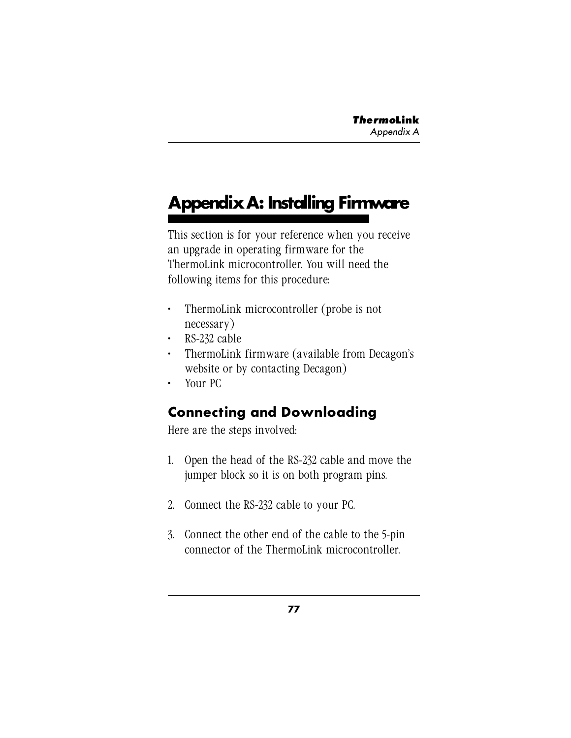# **Appendix A: Installing Firmware**

This section is for your reference when you receive an upgrade in operating firmware for the ThermoLink microcontroller. You will need the following items for this procedure:

- ThermoLink microcontroller (probe is not necessary)
- RS-232 cable
- ThermoLink firmware (available from Decagon's website or by contacting Decagon)
- Your PC

### **Connecting and Downloading**

Here are the steps involved:

- 1. Open the head of the RS-232 cable and move the jumper block so it is on both program pins.
- 2. Connect the RS-232 cable to your PC.
- 3. Connect the other end of the cable to the 5-pin connector of the ThermoLink microcontroller.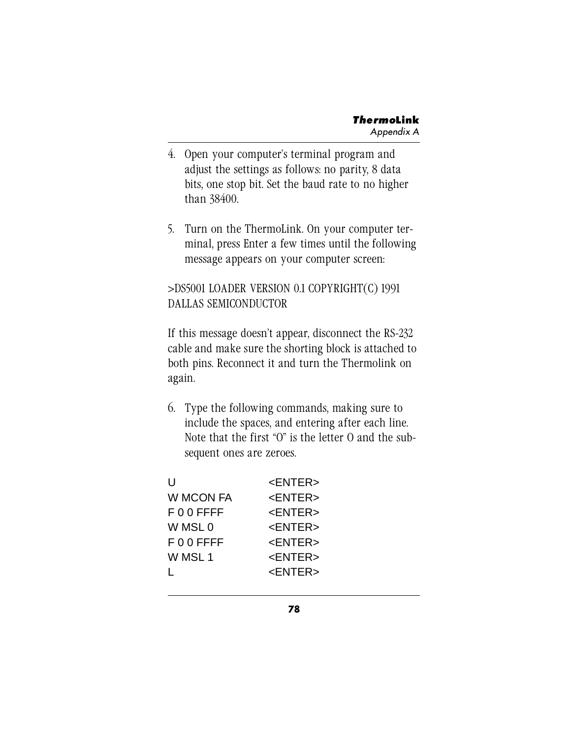- 4. Open your computer's terminal program and adjust the settings as follows: no parity, 8 data bits, one stop bit. Set the baud rate to no higher than 38400.
- 5. Turn on the ThermoLink. On your computer terminal, press Enter a few times until the following message appears on your computer screen:

#### >DS5001 LOADER VERSION 0.1 COPYRIGHT(C) 1991 DALLAS SEMICONDUCTOR

If this message doesn't appear, disconnect the RS-232 cable and make sure the shorting block is attached to both pins. Reconnect it and turn the Thermolink on again.

6. Type the following commands, making sure to include the spaces, and entering after each line. Note that the first "O" is the letter O and the subsequent ones are zeroes.

| U            | <enter></enter> |
|--------------|-----------------|
| W MCON FA    | <enter></enter> |
| F 0 0 FFFF   | <enter></enter> |
| W MSL 0      | <enter></enter> |
| $F$ 0 0 FFFF | <enter></enter> |
| W MSL 1      | <enter></enter> |
|              | <enter></enter> |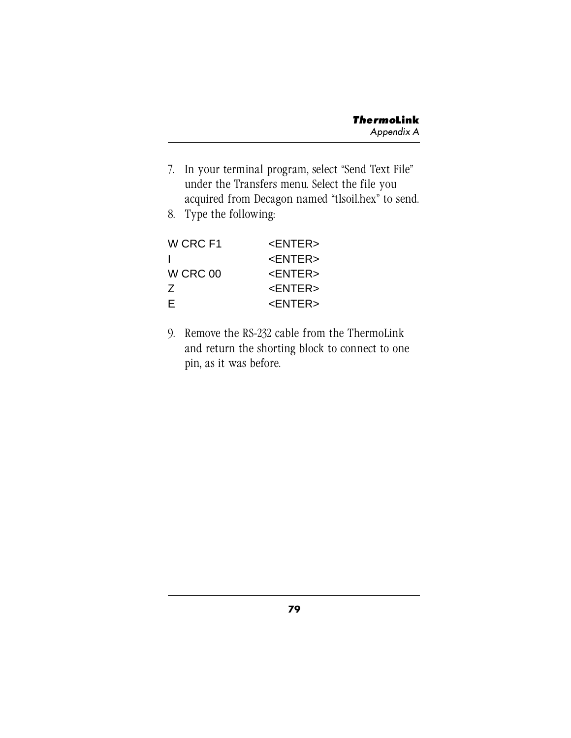- 7. In your terminal program, select "Send Text File" under the Transfers menu. Select the file you acquired from Decagon named "tlsoil.hex" to send.
- 8. Type the following:

| W CRC F1 | <fntfr></fntfr> |
|----------|-----------------|
| J.       | <fntfr></fntfr> |
| W CRC 00 | <fntfr></fntfr> |
| Ζ        | <enter></enter> |
| F        | <fntfr></fntfr> |

9. Remove the RS-232 cable from the ThermoLink and return the shorting block to connect to one pin, as it was before.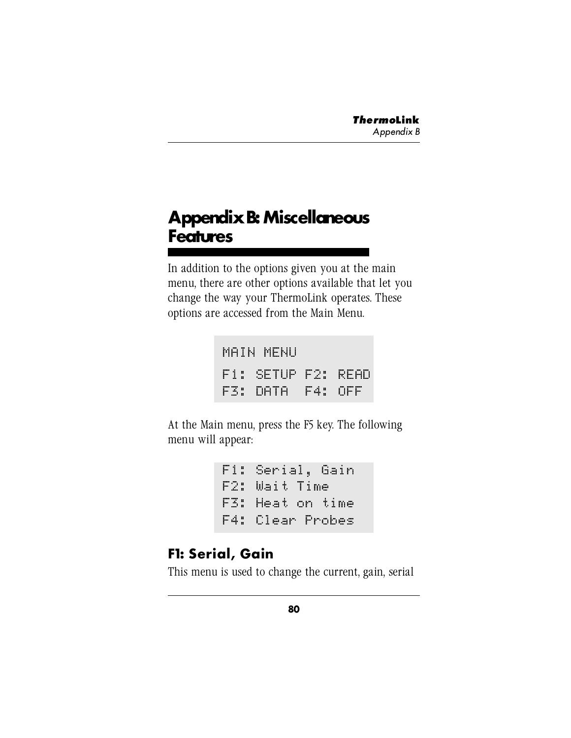# **Appendix B: Miscellaneous Features**

In addition to the options given you at the main menu, there are other options available that let you change the way your ThermoLink operates. These options are accessed from the Main Menu.

| MAIN MENU          |  |
|--------------------|--|
| F1: SETUP F2: READ |  |
| F3: DATA F4: OFF   |  |

At the Main menu, press the F5 key. The following menu will appear:

```
 
F4: Clear ProbesF1: Serial, Gain
F2: Wait Time
F3: Heat on time
```
### **F1: Serial, Gain**

This menu is used to change the current, gain, serial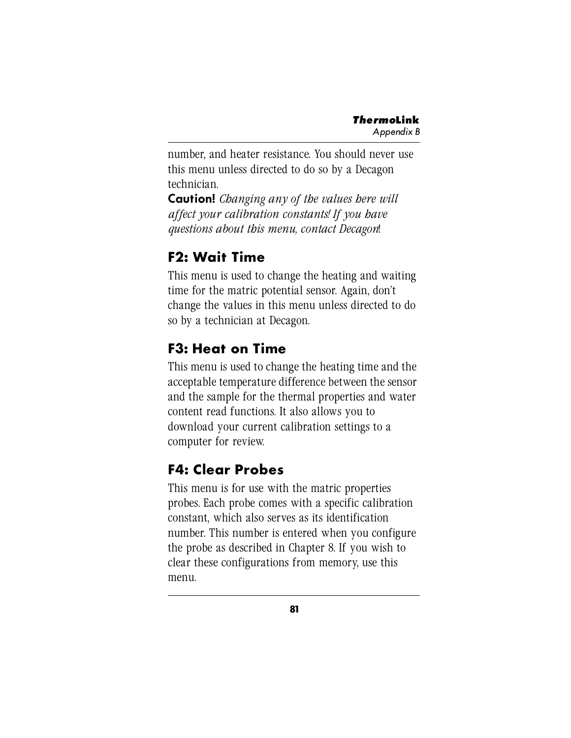number, and heater resistance. You should never use this menu unless directed to do so by a Decagon technician.

**Caution!** *Changing any of the values here will affect your calibration constants! If you have questions about this menu, contact Decagon*!

# **F2: Wait Time**

This menu is used to change the heating and waiting time for the matric potential sensor. Again, don't change the values in this menu unless directed to do so by a technician at Decagon.

## **F3: Heat on Time**

This menu is used to change the heating time and the acceptable temperature difference between the sensor and the sample for the thermal properties and water content read functions. It also allows you to download your current calibration settings to a computer for review.

### **F4: Clear Probes**

This menu is for use with the matric properties probes. Each probe comes with a specific calibration constant, which also serves as its identification number. This number is entered when you configure the probe as described in Chapter 8. If you wish to clear these configurations from memory, use this menu.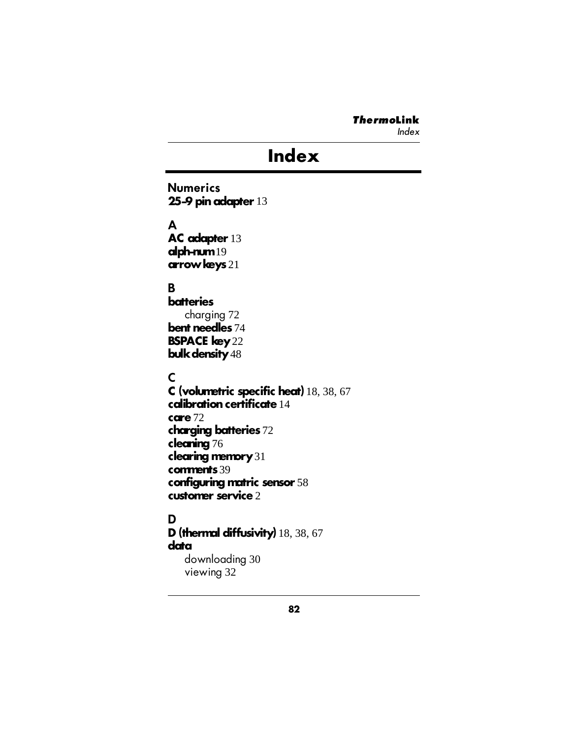Index

# **Index**

**Numerics 25-9 pin adapter** 13

**A**

**AC adapter** 13 **alph-num** 19 **arrow keys** 21

#### **B**

**batteries** charging 72 **bent needles** 74 **BSPACE key** 22 **bulk density** 48

**C**

**C (volumetric specific heat)** 18, 38, 67 **calibration certificate** 14 **care** 72 **charging batteries** 72 **cleaning** 76 **clearing memory** 31 **comments** 39 **configuring matric sensor** 58 **customer service** 2

### **D**

**D (thermal diffusivity)** 18, 38, 67 **data** downloading 30 viewing 32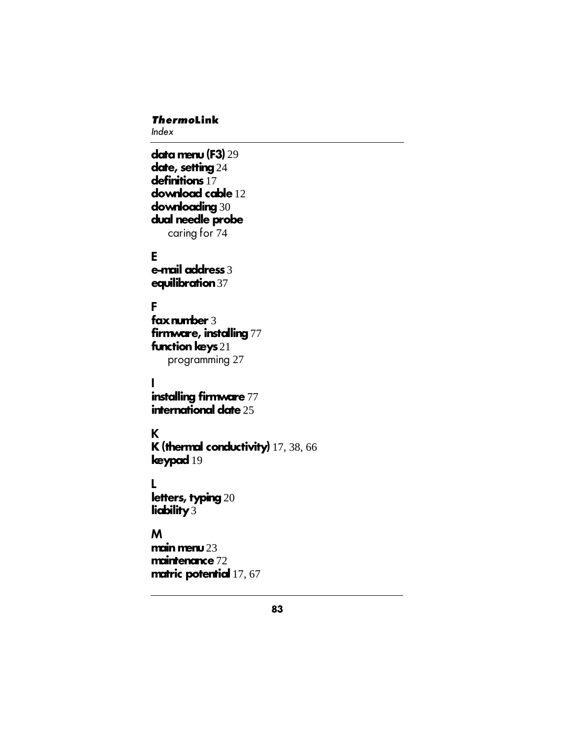Index

**data menu (F3)** 29 **date, setting** 24 **definitions** 17 **download cable** 12 **downloading** 30 **dual needle probe** caring for 74

**E e-mail address** 3 **equilibration** 37

**F fax number** 3 **firmware, installing** 77 **function keys** 21 programming 27

**I installing firmware** 77 **international date** 25

**K K (thermal conductivity)** 17, 38, 66 **keypad** 19

**L letters, typing** 20 **liability** 3

**M main menu** 23 **maintenance** 72 **matric potential** 17, 67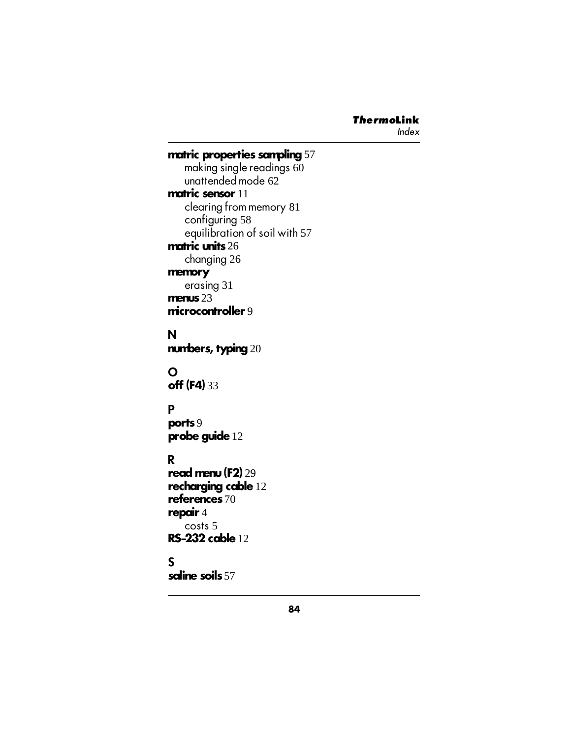```
matric properties sampling 57
   making single readings 60
   unattended mode 62
matric sensor 11
   clearing from memory 81
   configuring 58
   equilibration of soil with 57
matric units 26
   changing 26
memory
   erasing 31
menus 23
microcontroller 9
N
numbers, typing 20
O
off (F4) 33
P
ports 9
probe guide 12
R
read menu (F2) 29
recharging cable 12
references 70
repair 4
   costs 5
RS-232 cable 12
```
#### **S**

**saline soils** 57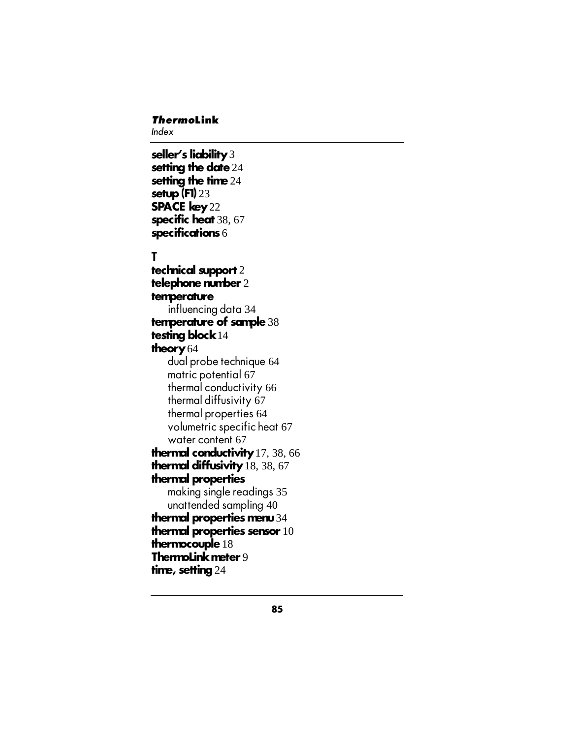Index

#### **seller's liability** 3 **setting the date** 24 **setting the time** 24 **setup (F1)** 23 **SPACE key** 22 **specific heat** 38, 67 **specifications** 6

#### **T**

**technical support** 2 **telephone number** 2 **temperature** influencing data 34 **temperature of sample** 38 **testing block** 14 **theory** 64 dual probe technique 64 matric potential 67 thermal conductivity 66 thermal diffusivity 67 thermal properties 64 volumetric specific heat 67 water content 67 **thermal conductivity** 17, 38, 66 **thermal diffusivity** 18, 38, 67 **thermal properties** making single readings 35 unattended sampling 40 **thermal properties menu** 34 **thermal properties sensor** 10 **thermocouple** 18 **ThermoLink meter** 9 **time, setting** 24